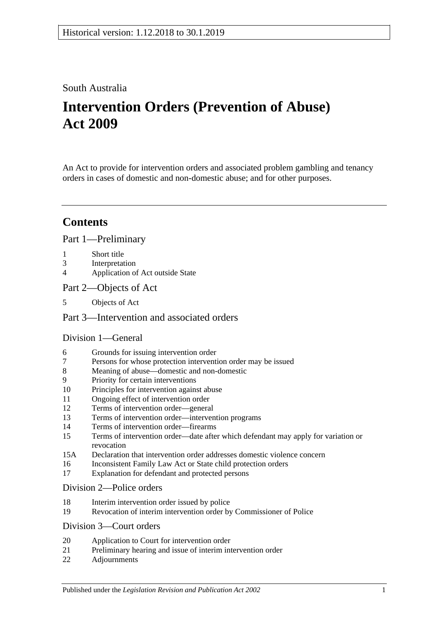## South Australia

# **Intervention Orders (Prevention of Abuse) Act 2009**

An Act to provide for intervention orders and associated problem gambling and tenancy orders in cases of domestic and non-domestic abuse; and for other purposes.

## **Contents**

[Part 1—Preliminary](#page-3-0)

- 1 [Short title](#page-3-1)
- 3 [Interpretation](#page-3-2)
- 4 [Application of Act outside State](#page-5-0)
- [Part 2—Objects of Act](#page-6-0)
- 5 [Objects of Act](#page-6-1)

## [Part 3—Intervention and associated orders](#page-6-2)

## [Division 1—General](#page-6-3)

- 6 [Grounds for issuing intervention order](#page-6-4)
- 7 [Persons for whose protection intervention order may be issued](#page-6-5)
- 8 [Meaning of abuse—domestic and non-domestic](#page-7-0)
- 9 [Priority for certain interventions](#page-9-0)
- 10 [Principles for intervention against abuse](#page-10-0)
- 11 [Ongoing effect of intervention order](#page-11-0)
- 12 [Terms of intervention order—general](#page-11-1)
- 13 [Terms of intervention order—intervention programs](#page-12-0)
- 14 [Terms of intervention order—firearms](#page-13-0)
- 15 [Terms of intervention order—date after which defendant may apply for variation or](#page-13-1)  [revocation](#page-13-1)
- 15A [Declaration that intervention order addresses domestic violence concern](#page-14-0)
- 16 [Inconsistent Family Law Act or State child protection orders](#page-14-1)
- 17 [Explanation for defendant and protected persons](#page-14-2)

#### [Division 2—Police orders](#page-14-3)

- 18 [Interim intervention order issued by police](#page-14-4)
- 19 [Revocation of interim intervention order by Commissioner of Police](#page-15-0)

#### [Division 3—Court orders](#page-16-0)

- 20 [Application to Court for intervention order](#page-16-1)
- 21 [Preliminary hearing and issue of interim intervention](#page-16-2) order
- 22 [Adjournments](#page-18-0)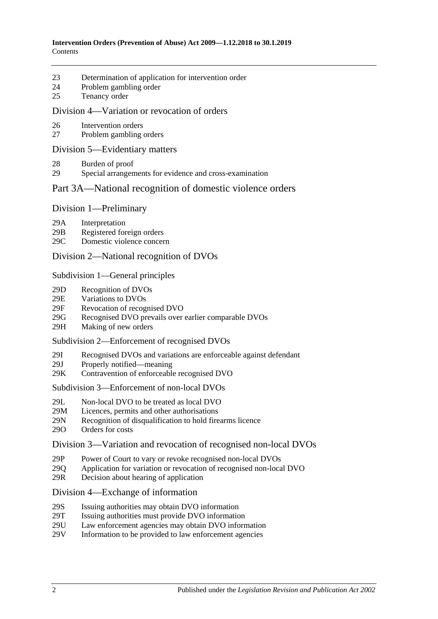- 23 [Determination of application for intervention order](#page-19-0)
- 24 [Problem gambling order](#page-20-0)
- 25 [Tenancy order](#page-21-0)

#### [Division 4—Variation or revocation of orders](#page-23-0)

- 26 [Intervention orders](#page-23-1)
- 27 [Problem gambling orders](#page-24-0)

#### [Division 5—Evidentiary matters](#page-25-0)

- 28 [Burden of proof](#page-25-1)
- 29 [Special arrangements for evidence and cross-examination](#page-25-2)

## [Part 3A—National recognition of domestic violence orders](#page-26-0)

#### Division [1—Preliminary](#page-26-1)

- 29A [Interpretation](#page-26-2)
- 29B [Registered foreign orders](#page-27-0)
- 29C [Domestic violence concern](#page-28-0)

#### Division [2—National recognition of DVOs](#page-28-1)

#### Subdivision [1—General principles](#page-28-2)

- 29D [Recognition of DVOs](#page-28-3)
- 29E [Variations to DVOs](#page-28-4)
- 29F [Revocation of recognised DVO](#page-29-0)
- 29G [Recognised DVO prevails over earlier comparable DVOs](#page-29-1)
- 29H [Making of new orders](#page-30-0)

#### Subdivision [2—Enforcement of recognised DVOs](#page-30-1)

- 29I [Recognised DVOs and variations are enforceable against defendant](#page-30-2)
- 29J [Properly notified—meaning](#page-30-3)
- 29K [Contravention of enforceable recognised DVO](#page-31-0)

#### Subdivision [3—Enforcement of non-local DVOs](#page-31-1)

- 29L [Non-local DVO to be treated as local DVO](#page-31-2)
- 29M [Licences, permits and other authorisations](#page-31-3)<br>29N Recognition of disqualification to hold fire
- [Recognition of disqualification to hold firearms licence](#page-32-0)
- 29O [Orders for costs](#page-32-1)

#### Division [3—Variation and revocation of recognised non-local DVOs](#page-32-2)

- 29P [Power of Court to vary or revoke recognised non-local DVOs](#page-32-3)
- 29Q [Application for variation or revocation of recognised non-local DVO](#page-33-0)
- 29R [Decision about hearing of application](#page-33-1)

#### Division [4—Exchange of information](#page-34-0)

- 29S [Issuing authorities may obtain DVO information](#page-34-1)
- 29T [Issuing authorities must provide DVO information](#page-34-2)
- 29U [Law enforcement agencies may obtain DVO information](#page-34-3)
- 29V [Information to be provided to law enforcement agencies](#page-34-4)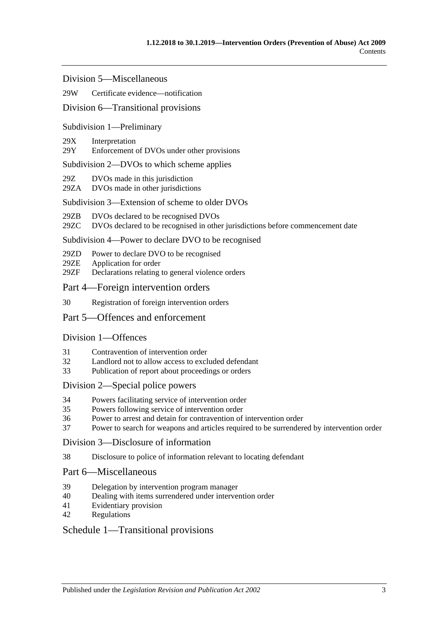Division [5—Miscellaneous](#page-35-0)

#### 29W [Certificate evidence—notification](#page-35-1)

#### Division [6—Transitional provisions](#page-35-2)

#### Subdivision [1—Preliminary](#page-35-3)

#### 29X [Interpretation](#page-35-4)

29Y [Enforcement of DVOs under other provisions](#page-35-5)

#### Subdivision [2—DVOs to which scheme applies](#page-36-0)

- 29Z [DVOs made in this jurisdiction](#page-36-1)
- 29ZA [DVOs made in other jurisdictions](#page-36-2)

#### Subdivision [3—Extension of scheme to older DVOs](#page-36-3)

- 29ZB [DVOs declared to be recognised DVOs](#page-36-4)
- 29ZC [DVOs declared to be recognised in other jurisdictions before commencement date](#page-37-0)

#### Subdivision [4—Power to declare DVO to be recognised](#page-37-1)

- 29ZD [Power to declare DVO to be recognised](#page-37-2)
- 29ZE [Application for order](#page-37-3)
- 29ZF [Declarations relating to general violence orders](#page-38-0)

#### [Part 4—Foreign intervention orders](#page-38-1)

30 [Registration of foreign intervention orders](#page-38-2)

### [Part 5—Offences and enforcement](#page-39-0)

#### [Division 1—Offences](#page-39-1)

- 31 [Contravention of intervention order](#page-39-2)
- 32 [Landlord not to allow access to excluded defendant](#page-39-3)
- 33 [Publication of report about proceedings or orders](#page-40-0)

#### [Division 2—Special police powers](#page-40-1)

- 34 [Powers facilitating service of intervention order](#page-40-2)
- 35 [Powers following service of intervention order](#page-41-0)
- 36 [Power to arrest and detain for contravention of intervention order](#page-41-1)
- 37 [Power to search for weapons and articles required to be surrendered by intervention order](#page-42-0)

#### [Division 3—Disclosure of information](#page-42-1)

38 [Disclosure to police of information relevant to locating defendant](#page-42-2)

#### [Part 6—Miscellaneous](#page-42-3)

- 39 [Delegation by intervention program manager](#page-42-4)
- 40 [Dealing with items surrendered under intervention order](#page-43-0)
- 41 [Evidentiary provision](#page-43-1)
- 42 [Regulations](#page-43-2)

#### [Schedule 1—Transitional provisions](#page-43-3)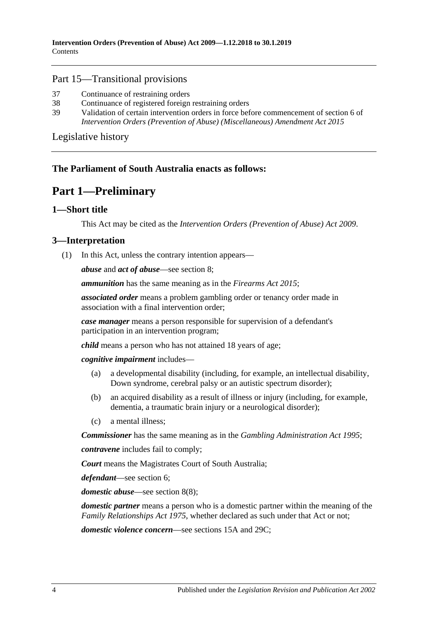#### Part 15—Transitional provisions

- 37 [Continuance of restraining orders](#page-43-4)
- 38 [Continuance of registered foreign restraining orders](#page-43-5)
- 39 [Validation of certain intervention orders in force before commencement of section](#page-44-0) 6 of *[Intervention Orders \(Prevention of Abuse\) \(Miscellaneous\) Amendment Act](#page-44-0) 2015*

[Legislative history](#page-45-0)

## <span id="page-3-0"></span>**The Parliament of South Australia enacts as follows:**

## **Part 1—Preliminary**

### <span id="page-3-1"></span>**1—Short title**

This Act may be cited as the *Intervention Orders (Prevention of Abuse) Act 2009*.

#### <span id="page-3-3"></span><span id="page-3-2"></span>**3—Interpretation**

(1) In this Act, unless the contrary intention appears—

*abuse* and *act of abuse*—see [section](#page-7-0) 8;

*ammunition* has the same meaning as in the *[Firearms Act](http://www.legislation.sa.gov.au/index.aspx?action=legref&type=act&legtitle=Firearms%20Act%202015) 2015*;

*associated order* means a problem gambling order or tenancy order made in association with a final intervention order;

*case manager* means a person responsible for supervision of a defendant's participation in an intervention program;

*child* means a person who has not attained 18 years of age;

*cognitive impairment* includes—

- (a) a developmental disability (including, for example, an intellectual disability, Down syndrome, cerebral palsy or an autistic spectrum disorder);
- (b) an acquired disability as a result of illness or injury (including, for example, dementia, a traumatic brain injury or a neurological disorder);
- (c) a mental illness;

*Commissioner* has the same meaning as in the *[Gambling Administration Act](http://www.legislation.sa.gov.au/index.aspx?action=legref&type=act&legtitle=Gambling%20Administration%20Act%201995) 1995*;

*contravene* includes fail to comply;

*Court* means the Magistrates Court of South Australia;

*defendant*—see [section](#page-6-4) 6;

*domestic abuse*—see [section](#page-9-1) 8(8);

*domestic partner* means a person who is a domestic partner within the meaning of the *[Family Relationships Act](http://www.legislation.sa.gov.au/index.aspx?action=legref&type=act&legtitle=Family%20Relationships%20Act%201975) 1975*, whether declared as such under that Act or not;

*domestic violence concern*—see [sections](#page-14-0) 15A and [29C;](#page-28-0)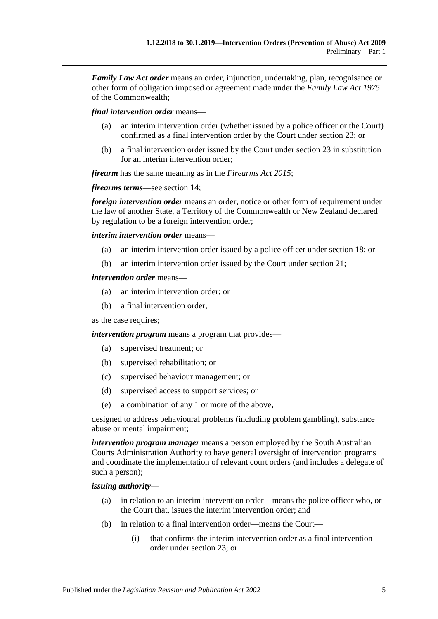*Family Law Act order* means an order, injunction, undertaking, plan, recognisance or other form of obligation imposed or agreement made under the *Family Law Act 1975* of the Commonwealth;

*final intervention order* means—

- (a) an interim intervention order (whether issued by a police officer or the Court) confirmed as a final intervention order by the Court under [section](#page-19-0) 23; or
- (b) a final intervention order issued by the Court under [section](#page-19-0) 23 in substitution for an interim intervention order;

*firearm* has the same meaning as in the *[Firearms Act](http://www.legislation.sa.gov.au/index.aspx?action=legref&type=act&legtitle=Firearms%20Act%202015) 2015*;

*firearms terms*—see [section](#page-13-0) 14;

*foreign intervention order* means an order, notice or other form of requirement under the law of another State, a Territory of the Commonwealth or New Zealand declared by regulation to be a foreign intervention order;

*interim intervention order* means—

- (a) an interim intervention order issued by a police officer under [section](#page-14-4) 18; or
- (b) an interim intervention order issued by the Court under [section](#page-16-2) 21;

#### *intervention order* means—

- (a) an interim intervention order; or
- (b) a final intervention order,

as the case requires;

*intervention program* means a program that provides—

- (a) supervised treatment; or
- (b) supervised rehabilitation; or
- (c) supervised behaviour management; or
- (d) supervised access to support services; or
- (e) a combination of any 1 or more of the above,

designed to address behavioural problems (including problem gambling), substance abuse or mental impairment;

*intervention program manager* means a person employed by the South Australian Courts Administration Authority to have general oversight of intervention programs and coordinate the implementation of relevant court orders (and includes a delegate of such a person);

#### *issuing authority*—

- (a) in relation to an interim intervention order—means the police officer who, or the Court that, issues the interim intervention order; and
- (b) in relation to a final intervention order—means the Court—
	- (i) that confirms the interim intervention order as a final intervention order under [section](#page-19-0) 23; or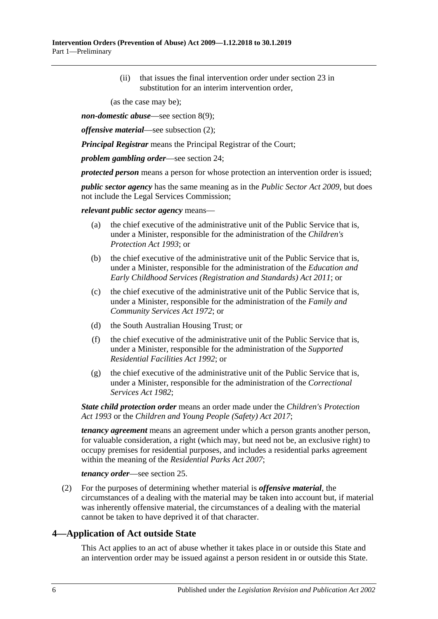(ii) that issues the final intervention order under [section](#page-19-0) 23 in substitution for an interim intervention order,

(as the case may be);

*non-domestic abuse*—see [section](#page-9-2) 8(9);

*offensive material*—see [subsection](#page-5-1) (2);

*Principal Registrar* means the Principal Registrar of the Court;

*problem gambling order*—see [section](#page-20-0) 24;

*protected person* means a person for whose protection an intervention order is issued;

*public sector agency* has the same meaning as in the *[Public Sector Act](http://www.legislation.sa.gov.au/index.aspx?action=legref&type=act&legtitle=Public%20Sector%20Act%202009) 2009*, but does not include the Legal Services Commission;

*relevant public sector agency* means—

- (a) the chief executive of the administrative unit of the Public Service that is, under a Minister, responsible for the administration of the *[Children's](http://www.legislation.sa.gov.au/index.aspx?action=legref&type=act&legtitle=Childrens%20Protection%20Act%201993)  [Protection Act](http://www.legislation.sa.gov.au/index.aspx?action=legref&type=act&legtitle=Childrens%20Protection%20Act%201993) 1993*; or
- (b) the chief executive of the administrative unit of the Public Service that is, under a Minister, responsible for the administration of the *[Education and](http://www.legislation.sa.gov.au/index.aspx?action=legref&type=act&legtitle=Education%20and%20Early%20Childhood%20Services%20(Registration%20and%20Standards)%20Act%202011)  [Early Childhood Services \(Registration and Standards\) Act](http://www.legislation.sa.gov.au/index.aspx?action=legref&type=act&legtitle=Education%20and%20Early%20Childhood%20Services%20(Registration%20and%20Standards)%20Act%202011) 2011*; or
- (c) the chief executive of the administrative unit of the Public Service that is, under a Minister, responsible for the administration of the *[Family and](http://www.legislation.sa.gov.au/index.aspx?action=legref&type=act&legtitle=Family%20and%20Community%20Services%20Act%201972)  [Community Services Act](http://www.legislation.sa.gov.au/index.aspx?action=legref&type=act&legtitle=Family%20and%20Community%20Services%20Act%201972) 1972*; or
- (d) the South Australian Housing Trust; or
- (f) the chief executive of the administrative unit of the Public Service that is, under a Minister, responsible for the administration of the *[Supported](http://www.legislation.sa.gov.au/index.aspx?action=legref&type=act&legtitle=Supported%20Residential%20Facilities%20Act%201992)  [Residential Facilities Act](http://www.legislation.sa.gov.au/index.aspx?action=legref&type=act&legtitle=Supported%20Residential%20Facilities%20Act%201992) 1992*; or
- (g) the chief executive of the administrative unit of the Public Service that is, under a Minister, responsible for the administration of the *[Correctional](http://www.legislation.sa.gov.au/index.aspx?action=legref&type=act&legtitle=Correctional%20Services%20Act%201982)  [Services Act](http://www.legislation.sa.gov.au/index.aspx?action=legref&type=act&legtitle=Correctional%20Services%20Act%201982) 1982*;

*State child protection order* means an order made under the *[Children's Protection](http://www.legislation.sa.gov.au/index.aspx?action=legref&type=act&legtitle=Childrens%20Protection%20Act%201993)  Act [1993](http://www.legislation.sa.gov.au/index.aspx?action=legref&type=act&legtitle=Childrens%20Protection%20Act%201993)* or the *[Children and Young People \(Safety\) Act](http://www.legislation.sa.gov.au/index.aspx?action=legref&type=act&legtitle=Children%20and%20Young%20People%20(Safety)%20Act%202017) 2017*;

*tenancy agreement* means an agreement under which a person grants another person, for valuable consideration, a right (which may, but need not be, an exclusive right) to occupy premises for residential purposes, and includes a residential parks agreement within the meaning of the *[Residential Parks Act](http://www.legislation.sa.gov.au/index.aspx?action=legref&type=act&legtitle=Residential%20Parks%20Act%202007) 2007*;

*tenancy order*—see [section](#page-21-0) 25.

<span id="page-5-1"></span>(2) For the purposes of determining whether material is *offensive material*, the circumstances of a dealing with the material may be taken into account but, if material was inherently offensive material, the circumstances of a dealing with the material cannot be taken to have deprived it of that character.

## <span id="page-5-0"></span>**4—Application of Act outside State**

This Act applies to an act of abuse whether it takes place in or outside this State and an intervention order may be issued against a person resident in or outside this State.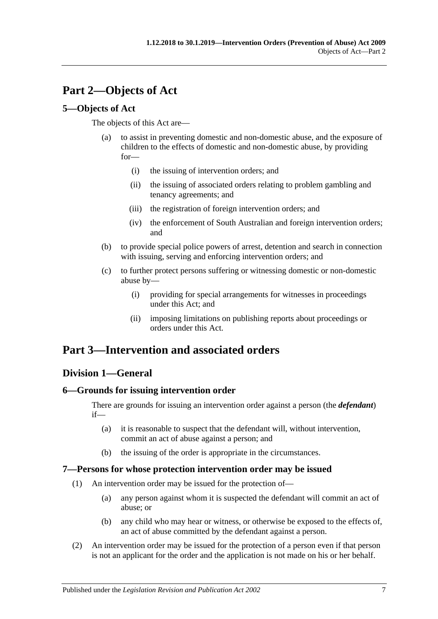# <span id="page-6-0"></span>**Part 2—Objects of Act**

## <span id="page-6-1"></span>**5—Objects of Act**

The objects of this Act are—

- (a) to assist in preventing domestic and non-domestic abuse, and the exposure of children to the effects of domestic and non-domestic abuse, by providing for—
	- (i) the issuing of intervention orders; and
	- (ii) the issuing of associated orders relating to problem gambling and tenancy agreements; and
	- (iii) the registration of foreign intervention orders; and
	- (iv) the enforcement of South Australian and foreign intervention orders; and
- (b) to provide special police powers of arrest, detention and search in connection with issuing, serving and enforcing intervention orders; and
- (c) to further protect persons suffering or witnessing domestic or non-domestic abuse by—
	- (i) providing for special arrangements for witnesses in proceedings under this Act; and
	- (ii) imposing limitations on publishing reports about proceedings or orders under this Act.

## <span id="page-6-2"></span>**Part 3—Intervention and associated orders**

## <span id="page-6-3"></span>**Division 1—General**

## <span id="page-6-4"></span>**6—Grounds for issuing intervention order**

There are grounds for issuing an intervention order against a person (the *defendant*) if—

- (a) it is reasonable to suspect that the defendant will, without intervention, commit an act of abuse against a person; and
- (b) the issuing of the order is appropriate in the circumstances.

## <span id="page-6-5"></span>**7—Persons for whose protection intervention order may be issued**

- (1) An intervention order may be issued for the protection of—
	- (a) any person against whom it is suspected the defendant will commit an act of abuse; or
	- (b) any child who may hear or witness, or otherwise be exposed to the effects of, an act of abuse committed by the defendant against a person.
- (2) An intervention order may be issued for the protection of a person even if that person is not an applicant for the order and the application is not made on his or her behalf.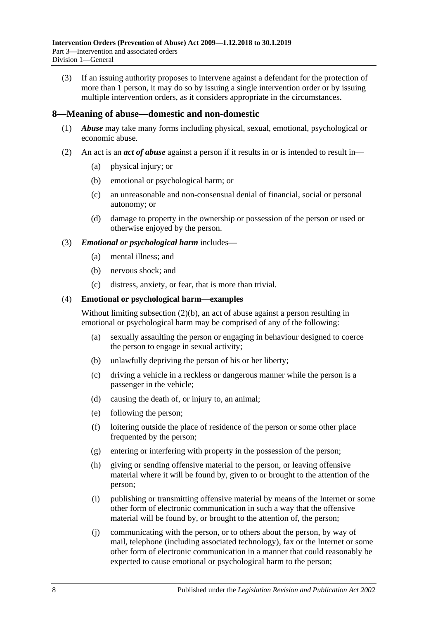(3) If an issuing authority proposes to intervene against a defendant for the protection of more than 1 person, it may do so by issuing a single intervention order or by issuing multiple intervention orders, as it considers appropriate in the circumstances.

### <span id="page-7-0"></span>**8—Meaning of abuse—domestic and non-domestic**

- (1) *Abuse* may take many forms including physical, sexual, emotional, psychological or economic abuse.
- <span id="page-7-2"></span><span id="page-7-1"></span>(2) An act is an *act of abuse* against a person if it results in or is intended to result in—
	- (a) physical injury; or
	- (b) emotional or psychological harm; or
	- (c) an unreasonable and non-consensual denial of financial, social or personal autonomy; or
	- (d) damage to property in the ownership or possession of the person or used or otherwise enjoyed by the person.

#### (3) *Emotional or psychological harm* includes—

- (a) mental illness; and
- (b) nervous shock; and
- (c) distress, anxiety, or fear, that is more than trivial.

#### (4) **Emotional or psychological harm—examples**

Without limiting [subsection](#page-7-1) (2)(b), an act of abuse against a person resulting in emotional or psychological harm may be comprised of any of the following:

- (a) sexually assaulting the person or engaging in behaviour designed to coerce the person to engage in sexual activity;
- (b) unlawfully depriving the person of his or her liberty;
- (c) driving a vehicle in a reckless or dangerous manner while the person is a passenger in the vehicle;
- (d) causing the death of, or injury to, an animal;
- (e) following the person;
- (f) loitering outside the place of residence of the person or some other place frequented by the person;
- (g) entering or interfering with property in the possession of the person;
- (h) giving or sending offensive material to the person, or leaving offensive material where it will be found by, given to or brought to the attention of the person;
- (i) publishing or transmitting offensive material by means of the Internet or some other form of electronic communication in such a way that the offensive material will be found by, or brought to the attention of, the person;
- (j) communicating with the person, or to others about the person, by way of mail, telephone (including associated technology), fax or the Internet or some other form of electronic communication in a manner that could reasonably be expected to cause emotional or psychological harm to the person;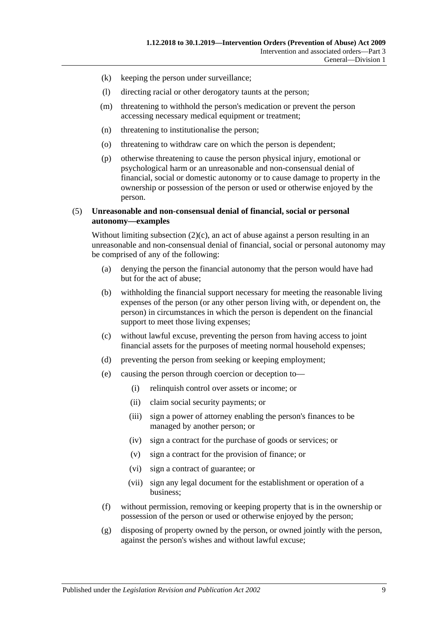- (k) keeping the person under surveillance;
- (l) directing racial or other derogatory taunts at the person;
- (m) threatening to withhold the person's medication or prevent the person accessing necessary medical equipment or treatment;
- (n) threatening to institutionalise the person;
- (o) threatening to withdraw care on which the person is dependent;
- (p) otherwise threatening to cause the person physical injury, emotional or psychological harm or an unreasonable and non-consensual denial of financial, social or domestic autonomy or to cause damage to property in the ownership or possession of the person or used or otherwise enjoyed by the person.

#### (5) **Unreasonable and non-consensual denial of financial, social or personal autonomy—examples**

Without limiting [subsection](#page-7-2)  $(2)(c)$ , an act of abuse against a person resulting in an unreasonable and non-consensual denial of financial, social or personal autonomy may be comprised of any of the following:

- (a) denying the person the financial autonomy that the person would have had but for the act of abuse;
- (b) withholding the financial support necessary for meeting the reasonable living expenses of the person (or any other person living with, or dependent on, the person) in circumstances in which the person is dependent on the financial support to meet those living expenses;
- (c) without lawful excuse, preventing the person from having access to joint financial assets for the purposes of meeting normal household expenses;
- (d) preventing the person from seeking or keeping employment;
- (e) causing the person through coercion or deception to—
	- (i) relinquish control over assets or income; or
	- (ii) claim social security payments; or
	- (iii) sign a power of attorney enabling the person's finances to be managed by another person; or
	- (iv) sign a contract for the purchase of goods or services; or
	- (v) sign a contract for the provision of finance; or
	- (vi) sign a contract of guarantee; or
	- (vii) sign any legal document for the establishment or operation of a business;
- (f) without permission, removing or keeping property that is in the ownership or possession of the person or used or otherwise enjoyed by the person;
- (g) disposing of property owned by the person, or owned jointly with the person, against the person's wishes and without lawful excuse;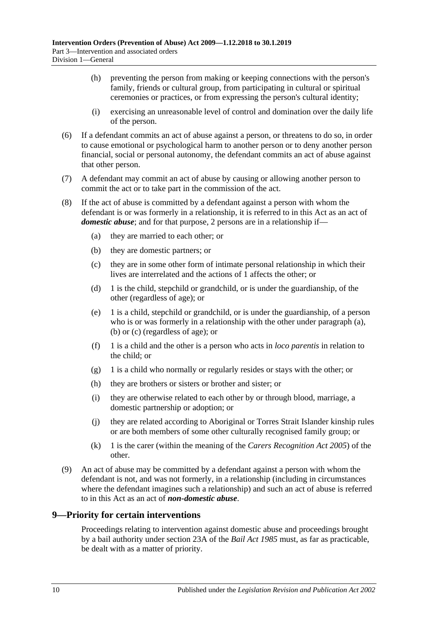- (h) preventing the person from making or keeping connections with the person's family, friends or cultural group, from participating in cultural or spiritual ceremonies or practices, or from expressing the person's cultural identity;
- (i) exercising an unreasonable level of control and domination over the daily life of the person.
- (6) If a defendant commits an act of abuse against a person, or threatens to do so, in order to cause emotional or psychological harm to another person or to deny another person financial, social or personal autonomy, the defendant commits an act of abuse against that other person.
- (7) A defendant may commit an act of abuse by causing or allowing another person to commit the act or to take part in the commission of the act.
- <span id="page-9-5"></span><span id="page-9-4"></span><span id="page-9-3"></span><span id="page-9-1"></span>(8) If the act of abuse is committed by a defendant against a person with whom the defendant is or was formerly in a relationship, it is referred to in this Act as an act of *domestic abuse*; and for that purpose, 2 persons are in a relationship if—
	- (a) they are married to each other; or
	- (b) they are domestic partners; or
	- (c) they are in some other form of intimate personal relationship in which their lives are interrelated and the actions of 1 affects the other; or
	- (d) 1 is the child, stepchild or grandchild, or is under the guardianship, of the other (regardless of age); or
	- (e) 1 is a child, stepchild or grandchild, or is under the guardianship, of a person who is or was formerly in a relationship with the other under [paragraph](#page-9-3) (a), [\(b\)](#page-9-4) or [\(c\)](#page-9-5) (regardless of age); or
	- (f) 1 is a child and the other is a person who acts in *loco parentis* in relation to the child; or
	- (g) 1 is a child who normally or regularly resides or stays with the other; or
	- (h) they are brothers or sisters or brother and sister; or
	- (i) they are otherwise related to each other by or through blood, marriage, a domestic partnership or adoption; or
	- (j) they are related according to Aboriginal or Torres Strait Islander kinship rules or are both members of some other culturally recognised family group; or
	- (k) 1 is the carer (within the meaning of the *[Carers Recognition Act](http://www.legislation.sa.gov.au/index.aspx?action=legref&type=act&legtitle=Carers%20Recognition%20Act%202005) 2005*) of the other.
- <span id="page-9-2"></span>(9) An act of abuse may be committed by a defendant against a person with whom the defendant is not, and was not formerly, in a relationship (including in circumstances where the defendant imagines such a relationship) and such an act of abuse is referred to in this Act as an act of *non-domestic abuse*.

## <span id="page-9-0"></span>**9—Priority for certain interventions**

Proceedings relating to intervention against domestic abuse and proceedings brought by a bail authority under section 23A of the *[Bail Act](http://www.legislation.sa.gov.au/index.aspx?action=legref&type=act&legtitle=Bail%20Act%201985) 1985* must, as far as practicable, be dealt with as a matter of priority.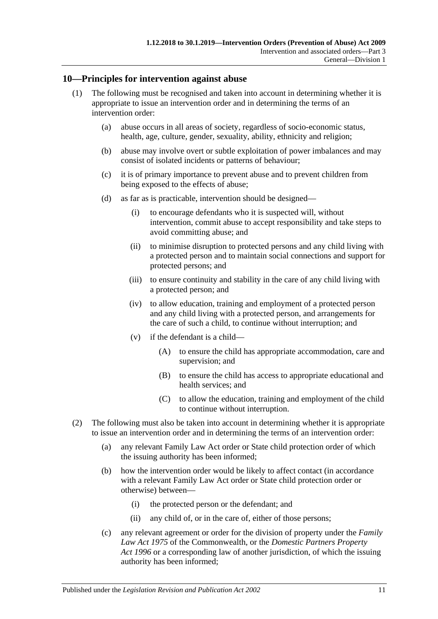### <span id="page-10-0"></span>**10—Principles for intervention against abuse**

- (1) The following must be recognised and taken into account in determining whether it is appropriate to issue an intervention order and in determining the terms of an intervention order:
	- (a) abuse occurs in all areas of society, regardless of socio-economic status, health, age, culture, gender, sexuality, ability, ethnicity and religion;
	- (b) abuse may involve overt or subtle exploitation of power imbalances and may consist of isolated incidents or patterns of behaviour;
	- (c) it is of primary importance to prevent abuse and to prevent children from being exposed to the effects of abuse;
	- (d) as far as is practicable, intervention should be designed—
		- (i) to encourage defendants who it is suspected will, without intervention, commit abuse to accept responsibility and take steps to avoid committing abuse; and
		- (ii) to minimise disruption to protected persons and any child living with a protected person and to maintain social connections and support for protected persons; and
		- (iii) to ensure continuity and stability in the care of any child living with a protected person; and
		- (iv) to allow education, training and employment of a protected person and any child living with a protected person, and arrangements for the care of such a child, to continue without interruption; and
		- (v) if the defendant is a child—
			- (A) to ensure the child has appropriate accommodation, care and supervision; and
			- (B) to ensure the child has access to appropriate educational and health services; and
			- (C) to allow the education, training and employment of the child to continue without interruption.
- (2) The following must also be taken into account in determining whether it is appropriate to issue an intervention order and in determining the terms of an intervention order:
	- (a) any relevant Family Law Act order or State child protection order of which the issuing authority has been informed;
	- (b) how the intervention order would be likely to affect contact (in accordance with a relevant Family Law Act order or State child protection order or otherwise) between—
		- (i) the protected person or the defendant; and
		- (ii) any child of, or in the care of, either of those persons;
	- (c) any relevant agreement or order for the division of property under the *Family Law Act 1975* of the Commonwealth, or the *[Domestic Partners Property](http://www.legislation.sa.gov.au/index.aspx?action=legref&type=act&legtitle=Domestic%20Partners%20Property%20Act%201996)  Act [1996](http://www.legislation.sa.gov.au/index.aspx?action=legref&type=act&legtitle=Domestic%20Partners%20Property%20Act%201996)* or a corresponding law of another jurisdiction, of which the issuing authority has been informed;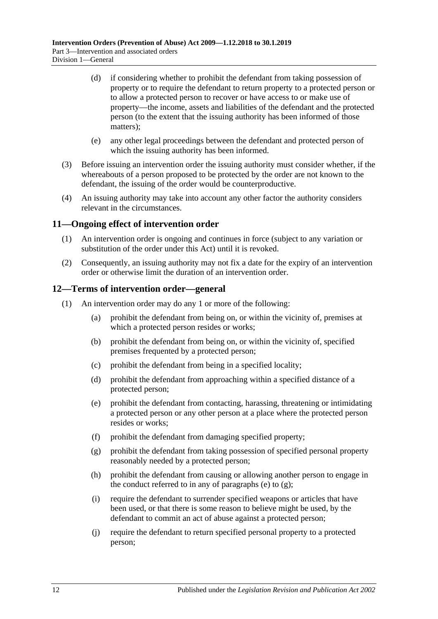- (d) if considering whether to prohibit the defendant from taking possession of property or to require the defendant to return property to a protected person or to allow a protected person to recover or have access to or make use of property—the income, assets and liabilities of the defendant and the protected person (to the extent that the issuing authority has been informed of those matters);
- (e) any other legal proceedings between the defendant and protected person of which the issuing authority has been informed.
- (3) Before issuing an intervention order the issuing authority must consider whether, if the whereabouts of a person proposed to be protected by the order are not known to the defendant, the issuing of the order would be counterproductive.
- (4) An issuing authority may take into account any other factor the authority considers relevant in the circumstances.

## <span id="page-11-0"></span>**11—Ongoing effect of intervention order**

- (1) An intervention order is ongoing and continues in force (subject to any variation or substitution of the order under this Act) until it is revoked.
- (2) Consequently, an issuing authority may not fix a date for the expiry of an intervention order or otherwise limit the duration of an intervention order.

#### <span id="page-11-1"></span>**12—Terms of intervention order—general**

- <span id="page-11-3"></span><span id="page-11-2"></span>(1) An intervention order may do any 1 or more of the following:
	- (a) prohibit the defendant from being on, or within the vicinity of, premises at which a protected person resides or works;
	- (b) prohibit the defendant from being on, or within the vicinity of, specified premises frequented by a protected person;
	- (c) prohibit the defendant from being in a specified locality;
	- (d) prohibit the defendant from approaching within a specified distance of a protected person;
	- (e) prohibit the defendant from contacting, harassing, threatening or intimidating a protected person or any other person at a place where the protected person resides or works;
	- (f) prohibit the defendant from damaging specified property;
	- (g) prohibit the defendant from taking possession of specified personal property reasonably needed by a protected person;
	- (h) prohibit the defendant from causing or allowing another person to engage in the conduct referred to in any of [paragraphs](#page-11-2) (e) to  $(g)$ ;
	- (i) require the defendant to surrender specified weapons or articles that have been used, or that there is some reason to believe might be used, by the defendant to commit an act of abuse against a protected person;
	- (j) require the defendant to return specified personal property to a protected person;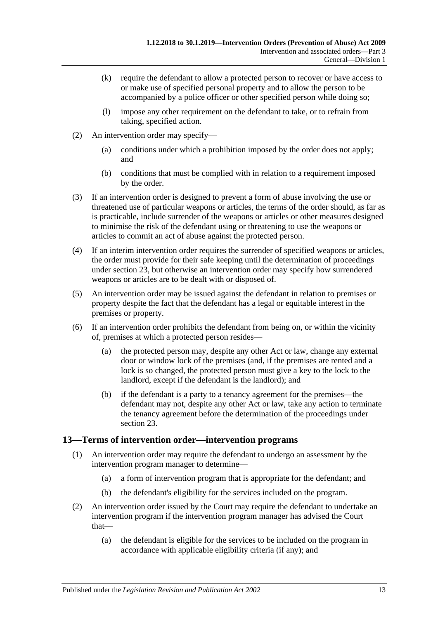- (k) require the defendant to allow a protected person to recover or have access to or make use of specified personal property and to allow the person to be accompanied by a police officer or other specified person while doing so;
- (l) impose any other requirement on the defendant to take, or to refrain from taking, specified action.
- (2) An intervention order may specify—
	- (a) conditions under which a prohibition imposed by the order does not apply; and
	- (b) conditions that must be complied with in relation to a requirement imposed by the order.
- (3) If an intervention order is designed to prevent a form of abuse involving the use or threatened use of particular weapons or articles, the terms of the order should, as far as is practicable, include surrender of the weapons or articles or other measures designed to minimise the risk of the defendant using or threatening to use the weapons or articles to commit an act of abuse against the protected person.
- (4) If an interim intervention order requires the surrender of specified weapons or articles, the order must provide for their safe keeping until the determination of proceedings under [section](#page-19-0) 23, but otherwise an intervention order may specify how surrendered weapons or articles are to be dealt with or disposed of.
- (5) An intervention order may be issued against the defendant in relation to premises or property despite the fact that the defendant has a legal or equitable interest in the premises or property.
- (6) If an intervention order prohibits the defendant from being on, or within the vicinity of, premises at which a protected person resides—
	- (a) the protected person may, despite any other Act or law, change any external door or window lock of the premises (and, if the premises are rented and a lock is so changed, the protected person must give a key to the lock to the landlord, except if the defendant is the landlord); and
	- (b) if the defendant is a party to a tenancy agreement for the premises—the defendant may not, despite any other Act or law, take any action to terminate the tenancy agreement before the determination of the proceedings under [section](#page-19-0) 23.

## <span id="page-12-0"></span>**13—Terms of intervention order—intervention programs**

- (1) An intervention order may require the defendant to undergo an assessment by the intervention program manager to determine—
	- (a) a form of intervention program that is appropriate for the defendant; and
	- (b) the defendant's eligibility for the services included on the program.
- (2) An intervention order issued by the Court may require the defendant to undertake an intervention program if the intervention program manager has advised the Court that—
	- (a) the defendant is eligible for the services to be included on the program in accordance with applicable eligibility criteria (if any); and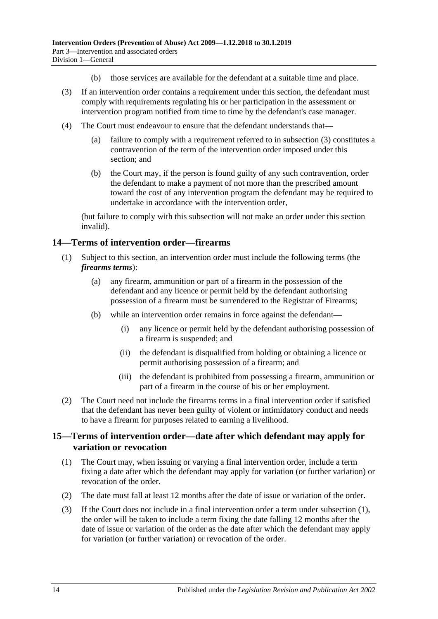- (b) those services are available for the defendant at a suitable time and place.
- <span id="page-13-2"></span>(3) If an intervention order contains a requirement under this section, the defendant must comply with requirements regulating his or her participation in the assessment or intervention program notified from time to time by the defendant's case manager.
- (4) The Court must endeavour to ensure that the defendant understands that—
	- (a) failure to comply with a requirement referred to in [subsection](#page-13-2) (3) constitutes a contravention of the term of the intervention order imposed under this section: and
	- (b) the Court may, if the person is found guilty of any such contravention, order the defendant to make a payment of not more than the prescribed amount toward the cost of any intervention program the defendant may be required to undertake in accordance with the intervention order,

(but failure to comply with this subsection will not make an order under this section invalid).

## <span id="page-13-0"></span>**14—Terms of intervention order—firearms**

- (1) Subject to this section, an intervention order must include the following terms (the *firearms terms*):
	- (a) any firearm, ammunition or part of a firearm in the possession of the defendant and any licence or permit held by the defendant authorising possession of a firearm must be surrendered to the Registrar of Firearms;
	- (b) while an intervention order remains in force against the defendant—
		- (i) any licence or permit held by the defendant authorising possession of a firearm is suspended; and
		- (ii) the defendant is disqualified from holding or obtaining a licence or permit authorising possession of a firearm; and
		- (iii) the defendant is prohibited from possessing a firearm, ammunition or part of a firearm in the course of his or her employment.
- (2) The Court need not include the firearms terms in a final intervention order if satisfied that the defendant has never been guilty of violent or intimidatory conduct and needs to have a firearm for purposes related to earning a livelihood.

## <span id="page-13-1"></span>**15—Terms of intervention order—date after which defendant may apply for variation or revocation**

- <span id="page-13-3"></span>(1) The Court may, when issuing or varying a final intervention order, include a term fixing a date after which the defendant may apply for variation (or further variation) or revocation of the order.
- (2) The date must fall at least 12 months after the date of issue or variation of the order.
- (3) If the Court does not include in a final intervention order a term under [subsection](#page-13-3) (1), the order will be taken to include a term fixing the date falling 12 months after the date of issue or variation of the order as the date after which the defendant may apply for variation (or further variation) or revocation of the order.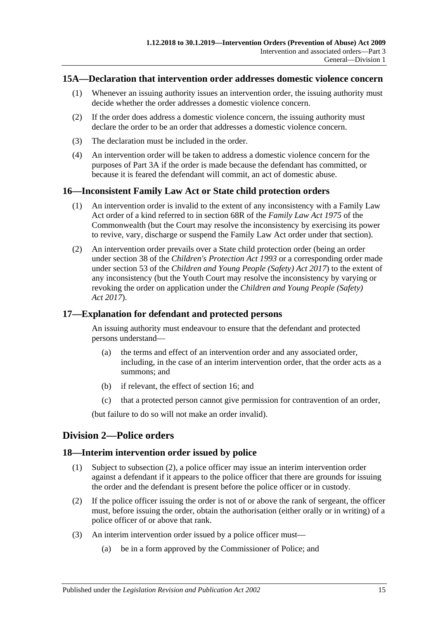### <span id="page-14-0"></span>**15A—Declaration that intervention order addresses domestic violence concern**

- (1) Whenever an issuing authority issues an intervention order, the issuing authority must decide whether the order addresses a domestic violence concern.
- (2) If the order does address a domestic violence concern, the issuing authority must declare the order to be an order that addresses a domestic violence concern.
- (3) The declaration must be included in the order.
- (4) An intervention order will be taken to address a domestic violence concern for the purposes of [Part 3A](#page-26-0) if the order is made because the defendant has committed, or because it is feared the defendant will commit, an act of domestic abuse.

## <span id="page-14-1"></span>**16—Inconsistent Family Law Act or State child protection orders**

- (1) An intervention order is invalid to the extent of any inconsistency with a Family Law Act order of a kind referred to in section 68R of the *Family Law Act 1975* of the Commonwealth (but the Court may resolve the inconsistency by exercising its power to revive, vary, discharge or suspend the Family Law Act order under that section).
- (2) An intervention order prevails over a State child protection order (being an order under section 38 of the *[Children's Protection Act](http://www.legislation.sa.gov.au/index.aspx?action=legref&type=act&legtitle=Childrens%20Protection%20Act%201993) 1993* or a corresponding order made under section 53 of the *[Children and Young People \(Safety\) Act](http://www.legislation.sa.gov.au/index.aspx?action=legref&type=act&legtitle=Children%20and%20Young%20People%20(Safety)%20Act%202017) 2017*) to the extent of any inconsistency (but the Youth Court may resolve the inconsistency by varying or revoking the order on application under the *[Children and Young People \(Safety\)](http://www.legislation.sa.gov.au/index.aspx?action=legref&type=act&legtitle=Children%20and%20Young%20People%20(Safety)%20Act%202017)  Act [2017](http://www.legislation.sa.gov.au/index.aspx?action=legref&type=act&legtitle=Children%20and%20Young%20People%20(Safety)%20Act%202017)*).

#### <span id="page-14-2"></span>**17—Explanation for defendant and protected persons**

An issuing authority must endeavour to ensure that the defendant and protected persons understand—

- (a) the terms and effect of an intervention order and any associated order, including, in the case of an interim intervention order, that the order acts as a summons; and
- (b) if relevant, the effect of [section](#page-14-1) 16; and
- (c) that a protected person cannot give permission for contravention of an order,

(but failure to do so will not make an order invalid).

## <span id="page-14-3"></span>**Division 2—Police orders**

## <span id="page-14-4"></span>**18—Interim intervention order issued by police**

- (1) Subject to [subsection](#page-14-5) (2), a police officer may issue an interim intervention order against a defendant if it appears to the police officer that there are grounds for issuing the order and the defendant is present before the police officer or in custody.
- <span id="page-14-5"></span>(2) If the police officer issuing the order is not of or above the rank of sergeant, the officer must, before issuing the order, obtain the authorisation (either orally or in writing) of a police officer of or above that rank.
- (3) An interim intervention order issued by a police officer must—
	- (a) be in a form approved by the Commissioner of Police; and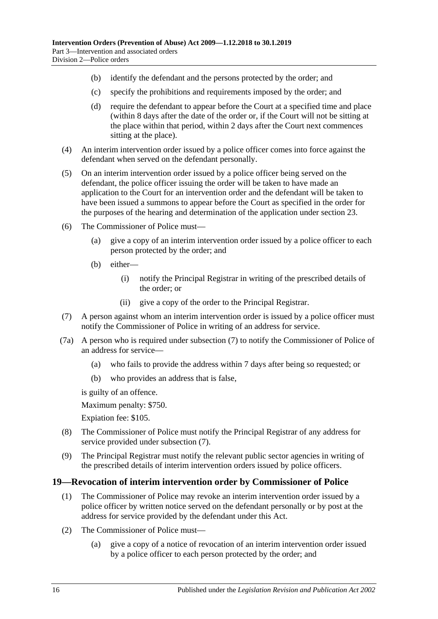- (b) identify the defendant and the persons protected by the order; and
- (c) specify the prohibitions and requirements imposed by the order; and
- (d) require the defendant to appear before the Court at a specified time and place (within 8 days after the date of the order or, if the Court will not be sitting at the place within that period, within 2 days after the Court next commences sitting at the place).
- (4) An interim intervention order issued by a police officer comes into force against the defendant when served on the defendant personally.
- (5) On an interim intervention order issued by a police officer being served on the defendant, the police officer issuing the order will be taken to have made an application to the Court for an intervention order and the defendant will be taken to have been issued a summons to appear before the Court as specified in the order for the purposes of the hearing and determination of the application under [section](#page-19-0) 23.
- (6) The Commissioner of Police must—
	- (a) give a copy of an interim intervention order issued by a police officer to each person protected by the order; and
	- (b) either—
		- (i) notify the Principal Registrar in writing of the prescribed details of the order; or
		- (ii) give a copy of the order to the Principal Registrar.
- <span id="page-15-1"></span>(7) A person against whom an interim intervention order is issued by a police officer must notify the Commissioner of Police in writing of an address for service.
- (7a) A person who is required under [subsection](#page-15-1) (7) to notify the Commissioner of Police of an address for service—
	- (a) who fails to provide the address within 7 days after being so requested; or
	- (b) who provides an address that is false,

is guilty of an offence.

Maximum penalty: \$750.

Expiation fee: \$105.

- (8) The Commissioner of Police must notify the Principal Registrar of any address for service provided under [subsection](#page-15-1) (7).
- (9) The Principal Registrar must notify the relevant public sector agencies in writing of the prescribed details of interim intervention orders issued by police officers.

## <span id="page-15-0"></span>**19—Revocation of interim intervention order by Commissioner of Police**

- (1) The Commissioner of Police may revoke an interim intervention order issued by a police officer by written notice served on the defendant personally or by post at the address for service provided by the defendant under this Act.
- (2) The Commissioner of Police must—
	- (a) give a copy of a notice of revocation of an interim intervention order issued by a police officer to each person protected by the order; and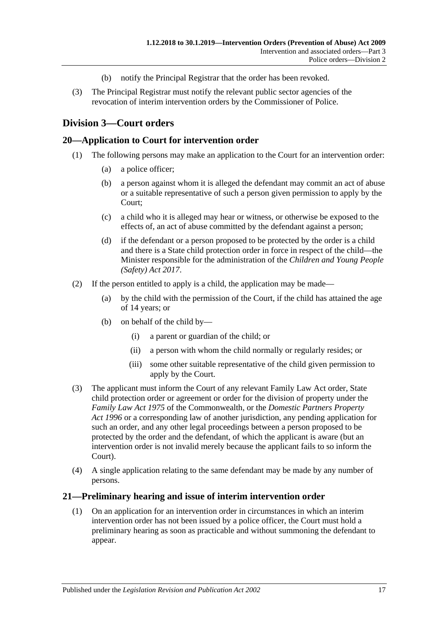- (b) notify the Principal Registrar that the order has been revoked.
- (3) The Principal Registrar must notify the relevant public sector agencies of the revocation of interim intervention orders by the Commissioner of Police.

## <span id="page-16-0"></span>**Division 3—Court orders**

### <span id="page-16-1"></span>**20—Application to Court for intervention order**

- (1) The following persons may make an application to the Court for an intervention order:
	- (a) a police officer;
	- (b) a person against whom it is alleged the defendant may commit an act of abuse or a suitable representative of such a person given permission to apply by the Court;
	- (c) a child who it is alleged may hear or witness, or otherwise be exposed to the effects of, an act of abuse committed by the defendant against a person;
	- (d) if the defendant or a person proposed to be protected by the order is a child and there is a State child protection order in force in respect of the child—the Minister responsible for the administration of the *[Children and Young People](http://www.legislation.sa.gov.au/index.aspx?action=legref&type=act&legtitle=Children%20and%20Young%20People%20(Safety)%20Act%202017)  [\(Safety\) Act](http://www.legislation.sa.gov.au/index.aspx?action=legref&type=act&legtitle=Children%20and%20Young%20People%20(Safety)%20Act%202017) 2017*.
- (2) If the person entitled to apply is a child, the application may be made—
	- (a) by the child with the permission of the Court, if the child has attained the age of 14 years; or
	- (b) on behalf of the child by—
		- (i) a parent or guardian of the child; or
		- (ii) a person with whom the child normally or regularly resides; or
		- (iii) some other suitable representative of the child given permission to apply by the Court.
- (3) The applicant must inform the Court of any relevant Family Law Act order, State child protection order or agreement or order for the division of property under the *Family Law Act 1975* of the Commonwealth, or the *[Domestic Partners Property](http://www.legislation.sa.gov.au/index.aspx?action=legref&type=act&legtitle=Domestic%20Partners%20Property%20Act%201996)  Act [1996](http://www.legislation.sa.gov.au/index.aspx?action=legref&type=act&legtitle=Domestic%20Partners%20Property%20Act%201996)* or a corresponding law of another jurisdiction, any pending application for such an order, and any other legal proceedings between a person proposed to be protected by the order and the defendant, of which the applicant is aware (but an intervention order is not invalid merely because the applicant fails to so inform the Court).
- (4) A single application relating to the same defendant may be made by any number of persons.

#### <span id="page-16-2"></span>**21—Preliminary hearing and issue of interim intervention order**

(1) On an application for an intervention order in circumstances in which an interim intervention order has not been issued by a police officer, the Court must hold a preliminary hearing as soon as practicable and without summoning the defendant to appear.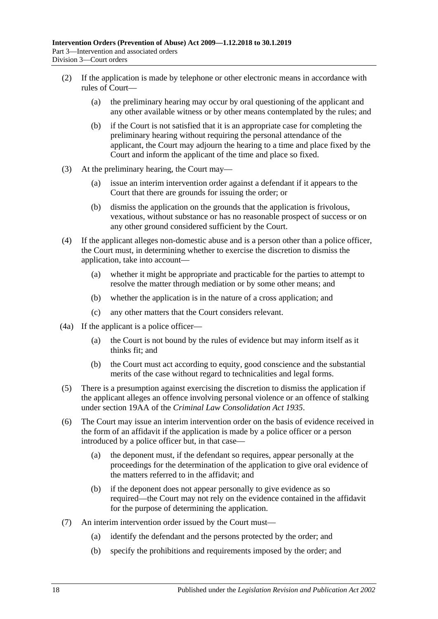- (2) If the application is made by telephone or other electronic means in accordance with rules of Court—
	- (a) the preliminary hearing may occur by oral questioning of the applicant and any other available witness or by other means contemplated by the rules; and
	- (b) if the Court is not satisfied that it is an appropriate case for completing the preliminary hearing without requiring the personal attendance of the applicant, the Court may adjourn the hearing to a time and place fixed by the Court and inform the applicant of the time and place so fixed.
- (3) At the preliminary hearing, the Court may—
	- (a) issue an interim intervention order against a defendant if it appears to the Court that there are grounds for issuing the order; or
	- (b) dismiss the application on the grounds that the application is frivolous, vexatious, without substance or has no reasonable prospect of success or on any other ground considered sufficient by the Court.
- (4) If the applicant alleges non-domestic abuse and is a person other than a police officer, the Court must, in determining whether to exercise the discretion to dismiss the application, take into account—
	- (a) whether it might be appropriate and practicable for the parties to attempt to resolve the matter through mediation or by some other means; and
	- (b) whether the application is in the nature of a cross application; and
	- (c) any other matters that the Court considers relevant.
- (4a) If the applicant is a police officer—
	- (a) the Court is not bound by the rules of evidence but may inform itself as it thinks fit; and
	- (b) the Court must act according to equity, good conscience and the substantial merits of the case without regard to technicalities and legal forms.
- (5) There is a presumption against exercising the discretion to dismiss the application if the applicant alleges an offence involving personal violence or an offence of stalking under section 19AA of the *[Criminal Law Consolidation Act](http://www.legislation.sa.gov.au/index.aspx?action=legref&type=act&legtitle=Criminal%20Law%20Consolidation%20Act%201935) 1935*.
- (6) The Court may issue an interim intervention order on the basis of evidence received in the form of an affidavit if the application is made by a police officer or a person introduced by a police officer but, in that case—
	- (a) the deponent must, if the defendant so requires, appear personally at the proceedings for the determination of the application to give oral evidence of the matters referred to in the affidavit; and
	- (b) if the deponent does not appear personally to give evidence as so required—the Court may not rely on the evidence contained in the affidavit for the purpose of determining the application.
- (7) An interim intervention order issued by the Court must—
	- (a) identify the defendant and the persons protected by the order; and
	- (b) specify the prohibitions and requirements imposed by the order; and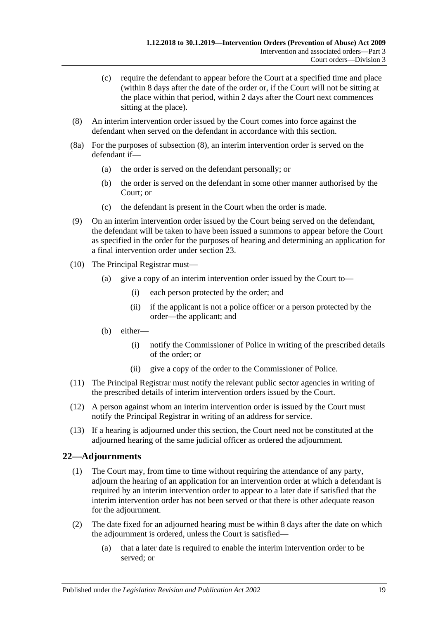- (c) require the defendant to appear before the Court at a specified time and place (within 8 days after the date of the order or, if the Court will not be sitting at the place within that period, within 2 days after the Court next commences sitting at the place).
- <span id="page-18-1"></span>(8) An interim intervention order issued by the Court comes into force against the defendant when served on the defendant in accordance with this section.
- (8a) For the purposes of [subsection](#page-18-1) (8), an interim intervention order is served on the defendant if—
	- (a) the order is served on the defendant personally; or
	- (b) the order is served on the defendant in some other manner authorised by the Court; or
	- (c) the defendant is present in the Court when the order is made.
- (9) On an interim intervention order issued by the Court being served on the defendant, the defendant will be taken to have been issued a summons to appear before the Court as specified in the order for the purposes of hearing and determining an application for a final intervention order under [section](#page-19-0) 23.
- (10) The Principal Registrar must—
	- (a) give a copy of an interim intervention order issued by the Court to—
		- (i) each person protected by the order; and
		- (ii) if the applicant is not a police officer or a person protected by the order—the applicant; and
	- (b) either—
		- (i) notify the Commissioner of Police in writing of the prescribed details of the order; or
		- (ii) give a copy of the order to the Commissioner of Police.
- (11) The Principal Registrar must notify the relevant public sector agencies in writing of the prescribed details of interim intervention orders issued by the Court.
- (12) A person against whom an interim intervention order is issued by the Court must notify the Principal Registrar in writing of an address for service.
- (13) If a hearing is adjourned under this section, the Court need not be constituted at the adjourned hearing of the same judicial officer as ordered the adjournment.

## <span id="page-18-0"></span>**22—Adjournments**

- (1) The Court may, from time to time without requiring the attendance of any party, adjourn the hearing of an application for an intervention order at which a defendant is required by an interim intervention order to appear to a later date if satisfied that the interim intervention order has not been served or that there is other adequate reason for the adjournment.
- (2) The date fixed for an adjourned hearing must be within 8 days after the date on which the adjournment is ordered, unless the Court is satisfied—
	- (a) that a later date is required to enable the interim intervention order to be served; or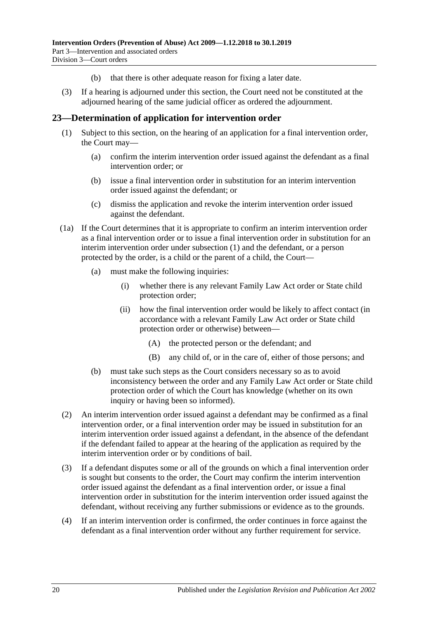- (b) that there is other adequate reason for fixing a later date.
- (3) If a hearing is adjourned under this section, the Court need not be constituted at the adjourned hearing of the same judicial officer as ordered the adjournment.

### <span id="page-19-1"></span><span id="page-19-0"></span>**23—Determination of application for intervention order**

- (1) Subject to this section, on the hearing of an application for a final intervention order, the Court may—
	- (a) confirm the interim intervention order issued against the defendant as a final intervention order; or
	- (b) issue a final intervention order in substitution for an interim intervention order issued against the defendant; or
	- (c) dismiss the application and revoke the interim intervention order issued against the defendant.
- (1a) If the Court determines that it is appropriate to confirm an interim intervention order as a final intervention order or to issue a final intervention order in substitution for an interim intervention order under [subsection](#page-19-1) (1) and the defendant, or a person protected by the order, is a child or the parent of a child, the Court—
	- (a) must make the following inquiries:
		- (i) whether there is any relevant Family Law Act order or State child protection order;
		- (ii) how the final intervention order would be likely to affect contact (in accordance with a relevant Family Law Act order or State child protection order or otherwise) between—
			- (A) the protected person or the defendant; and
			- (B) any child of, or in the care of, either of those persons; and
	- (b) must take such steps as the Court considers necessary so as to avoid inconsistency between the order and any Family Law Act order or State child protection order of which the Court has knowledge (whether on its own inquiry or having been so informed).
- (2) An interim intervention order issued against a defendant may be confirmed as a final intervention order, or a final intervention order may be issued in substitution for an interim intervention order issued against a defendant, in the absence of the defendant if the defendant failed to appear at the hearing of the application as required by the interim intervention order or by conditions of bail.
- (3) If a defendant disputes some or all of the grounds on which a final intervention order is sought but consents to the order, the Court may confirm the interim intervention order issued against the defendant as a final intervention order, or issue a final intervention order in substitution for the interim intervention order issued against the defendant, without receiving any further submissions or evidence as to the grounds.
- (4) If an interim intervention order is confirmed, the order continues in force against the defendant as a final intervention order without any further requirement for service.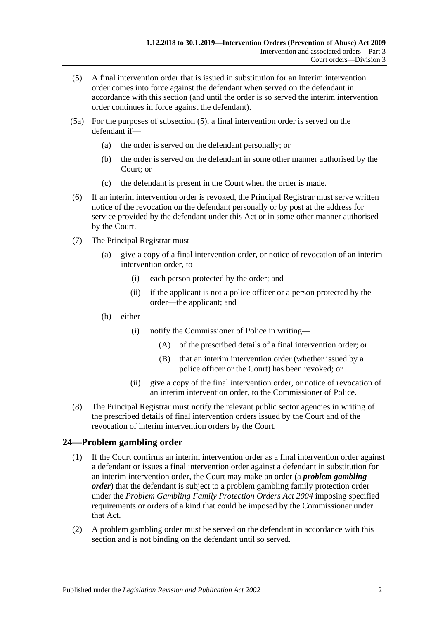- <span id="page-20-1"></span>(5) A final intervention order that is issued in substitution for an interim intervention order comes into force against the defendant when served on the defendant in accordance with this section (and until the order is so served the interim intervention order continues in force against the defendant).
- (5a) For the purposes of [subsection](#page-20-1) (5), a final intervention order is served on the defendant if—
	- (a) the order is served on the defendant personally; or
	- (b) the order is served on the defendant in some other manner authorised by the Court; or
	- (c) the defendant is present in the Court when the order is made.
- (6) If an interim intervention order is revoked, the Principal Registrar must serve written notice of the revocation on the defendant personally or by post at the address for service provided by the defendant under this Act or in some other manner authorised by the Court.
- (7) The Principal Registrar must—
	- (a) give a copy of a final intervention order, or notice of revocation of an interim intervention order, to—
		- (i) each person protected by the order; and
		- (ii) if the applicant is not a police officer or a person protected by the order—the applicant; and
	- (b) either—
		- (i) notify the Commissioner of Police in writing—
			- (A) of the prescribed details of a final intervention order; or
			- (B) that an interim intervention order (whether issued by a police officer or the Court) has been revoked; or
		- (ii) give a copy of the final intervention order, or notice of revocation of an interim intervention order, to the Commissioner of Police.
- (8) The Principal Registrar must notify the relevant public sector agencies in writing of the prescribed details of final intervention orders issued by the Court and of the revocation of interim intervention orders by the Court.

## <span id="page-20-0"></span>**24—Problem gambling order**

- (1) If the Court confirms an interim intervention order as a final intervention order against a defendant or issues a final intervention order against a defendant in substitution for an interim intervention order, the Court may make an order (a *problem gambling order*) that the defendant is subject to a problem gambling family protection order under the *[Problem Gambling Family Protection Orders Act](http://www.legislation.sa.gov.au/index.aspx?action=legref&type=act&legtitle=Problem%20Gambling%20Family%20Protection%20Orders%20Act%202004) 2004* imposing specified requirements or orders of a kind that could be imposed by the Commissioner under that Act.
- <span id="page-20-2"></span>(2) A problem gambling order must be served on the defendant in accordance with this section and is not binding on the defendant until so served.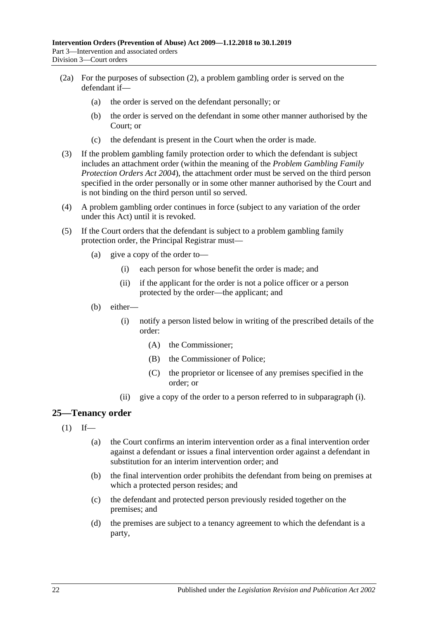- (2a) For the purposes of [subsection](#page-20-2) (2), a problem gambling order is served on the defendant if—
	- (a) the order is served on the defendant personally; or
	- (b) the order is served on the defendant in some other manner authorised by the Court; or
	- (c) the defendant is present in the Court when the order is made.
- (3) If the problem gambling family protection order to which the defendant is subject includes an attachment order (within the meaning of the *[Problem Gambling Family](http://www.legislation.sa.gov.au/index.aspx?action=legref&type=act&legtitle=Problem%20Gambling%20Family%20Protection%20Orders%20Act%202004)  [Protection Orders Act](http://www.legislation.sa.gov.au/index.aspx?action=legref&type=act&legtitle=Problem%20Gambling%20Family%20Protection%20Orders%20Act%202004) 2004*), the attachment order must be served on the third person specified in the order personally or in some other manner authorised by the Court and is not binding on the third person until so served.
- (4) A problem gambling order continues in force (subject to any variation of the order under this Act) until it is revoked.
- <span id="page-21-1"></span>(5) If the Court orders that the defendant is subject to a problem gambling family protection order, the Principal Registrar must—
	- (a) give a copy of the order to—
		- (i) each person for whose benefit the order is made; and
		- (ii) if the applicant for the order is not a police officer or a person protected by the order—the applicant; and
	- (b) either—
		- (i) notify a person listed below in writing of the prescribed details of the order:
			- (A) the Commissioner;
			- (B) the Commissioner of Police;
			- (C) the proprietor or licensee of any premises specified in the order; or
		- (ii) give a copy of the order to a person referred to in [subparagraph](#page-21-1) (i).

## <span id="page-21-0"></span>**25—Tenancy order**

- $(1)$  If—
	- (a) the Court confirms an interim intervention order as a final intervention order against a defendant or issues a final intervention order against a defendant in substitution for an interim intervention order; and
	- (b) the final intervention order prohibits the defendant from being on premises at which a protected person resides; and
	- (c) the defendant and protected person previously resided together on the premises; and
	- (d) the premises are subject to a tenancy agreement to which the defendant is a party,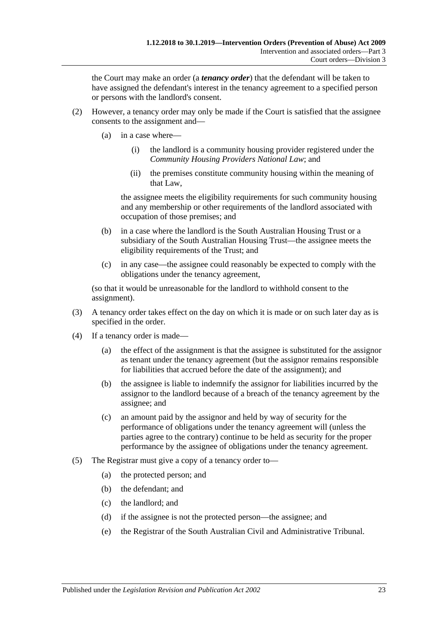the Court may make an order (a *tenancy order*) that the defendant will be taken to have assigned the defendant's interest in the tenancy agreement to a specified person or persons with the landlord's consent.

- (2) However, a tenancy order may only be made if the Court is satisfied that the assignee consents to the assignment and—
	- (a) in a case where—
		- (i) the landlord is a community housing provider registered under the *Community Housing Providers National Law*; and
		- (ii) the premises constitute community housing within the meaning of that Law,

the assignee meets the eligibility requirements for such community housing and any membership or other requirements of the landlord associated with occupation of those premises; and

- (b) in a case where the landlord is the South Australian Housing Trust or a subsidiary of the South Australian Housing Trust—the assignee meets the eligibility requirements of the Trust; and
- (c) in any case—the assignee could reasonably be expected to comply with the obligations under the tenancy agreement,

(so that it would be unreasonable for the landlord to withhold consent to the assignment).

- (3) A tenancy order takes effect on the day on which it is made or on such later day as is specified in the order.
- (4) If a tenancy order is made—
	- (a) the effect of the assignment is that the assignee is substituted for the assignor as tenant under the tenancy agreement (but the assignor remains responsible for liabilities that accrued before the date of the assignment); and
	- (b) the assignee is liable to indemnify the assignor for liabilities incurred by the assignor to the landlord because of a breach of the tenancy agreement by the assignee; and
	- (c) an amount paid by the assignor and held by way of security for the performance of obligations under the tenancy agreement will (unless the parties agree to the contrary) continue to be held as security for the proper performance by the assignee of obligations under the tenancy agreement.
- (5) The Registrar must give a copy of a tenancy order to—
	- (a) the protected person; and
	- (b) the defendant; and
	- (c) the landlord; and
	- (d) if the assignee is not the protected person—the assignee; and
	- (e) the Registrar of the South Australian Civil and Administrative Tribunal.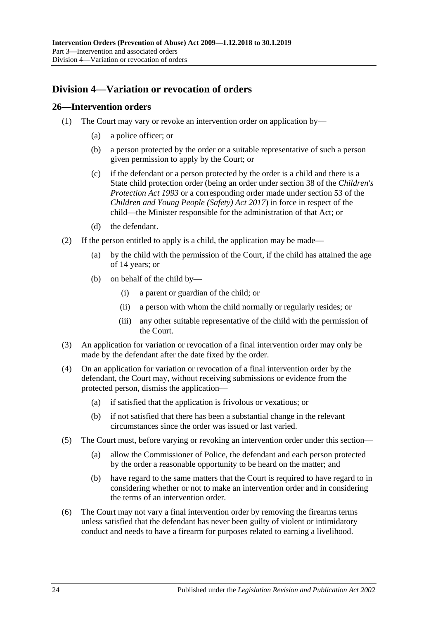## <span id="page-23-0"></span>**Division 4—Variation or revocation of orders**

### <span id="page-23-1"></span>**26—Intervention orders**

- (1) The Court may vary or revoke an intervention order on application by—
	- (a) a police officer; or
	- (b) a person protected by the order or a suitable representative of such a person given permission to apply by the Court; or
	- (c) if the defendant or a person protected by the order is a child and there is a State child protection order (being an order under section 38 of the *[Children's](http://www.legislation.sa.gov.au/index.aspx?action=legref&type=act&legtitle=Childrens%20Protection%20Act%201993)  [Protection Act](http://www.legislation.sa.gov.au/index.aspx?action=legref&type=act&legtitle=Childrens%20Protection%20Act%201993) 1993* or a corresponding order made under section 53 of the *[Children and Young People \(Safety\) Act](http://www.legislation.sa.gov.au/index.aspx?action=legref&type=act&legtitle=Children%20and%20Young%20People%20(Safety)%20Act%202017) 2017*) in force in respect of the child—the Minister responsible for the administration of that Act; or
	- (d) the defendant.
- (2) If the person entitled to apply is a child, the application may be made—
	- (a) by the child with the permission of the Court, if the child has attained the age of 14 years; or
	- (b) on behalf of the child by—
		- (i) a parent or guardian of the child; or
		- (ii) a person with whom the child normally or regularly resides; or
		- (iii) any other suitable representative of the child with the permission of the Court.
- (3) An application for variation or revocation of a final intervention order may only be made by the defendant after the date fixed by the order.
- (4) On an application for variation or revocation of a final intervention order by the defendant, the Court may, without receiving submissions or evidence from the protected person, dismiss the application—
	- (a) if satisfied that the application is frivolous or vexatious; or
	- (b) if not satisfied that there has been a substantial change in the relevant circumstances since the order was issued or last varied.
- (5) The Court must, before varying or revoking an intervention order under this section—
	- (a) allow the Commissioner of Police, the defendant and each person protected by the order a reasonable opportunity to be heard on the matter; and
	- (b) have regard to the same matters that the Court is required to have regard to in considering whether or not to make an intervention order and in considering the terms of an intervention order.
- (6) The Court may not vary a final intervention order by removing the firearms terms unless satisfied that the defendant has never been guilty of violent or intimidatory conduct and needs to have a firearm for purposes related to earning a livelihood.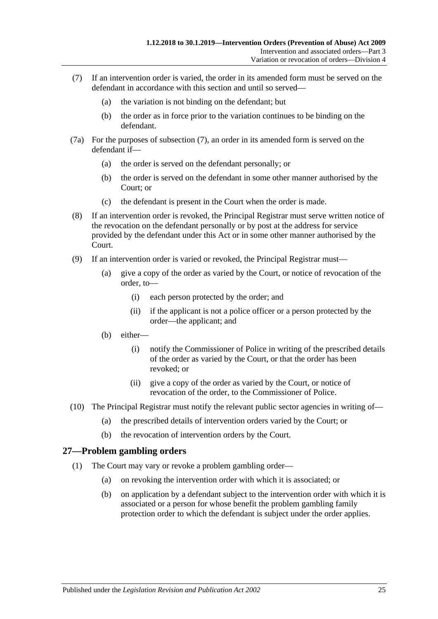- <span id="page-24-1"></span>(7) If an intervention order is varied, the order in its amended form must be served on the defendant in accordance with this section and until so served—
	- (a) the variation is not binding on the defendant; but
	- (b) the order as in force prior to the variation continues to be binding on the defendant.
- (7a) For the purposes of [subsection](#page-24-1) (7), an order in its amended form is served on the defendant if—
	- (a) the order is served on the defendant personally; or
	- (b) the order is served on the defendant in some other manner authorised by the Court; or
	- (c) the defendant is present in the Court when the order is made.
- (8) If an intervention order is revoked, the Principal Registrar must serve written notice of the revocation on the defendant personally or by post at the address for service provided by the defendant under this Act or in some other manner authorised by the Court.
- (9) If an intervention order is varied or revoked, the Principal Registrar must—
	- (a) give a copy of the order as varied by the Court, or notice of revocation of the order, to—
		- (i) each person protected by the order; and
		- (ii) if the applicant is not a police officer or a person protected by the order—the applicant; and
	- (b) either—
		- (i) notify the Commissioner of Police in writing of the prescribed details of the order as varied by the Court, or that the order has been revoked; or
		- (ii) give a copy of the order as varied by the Court, or notice of revocation of the order, to the Commissioner of Police.
- (10) The Principal Registrar must notify the relevant public sector agencies in writing of—
	- (a) the prescribed details of intervention orders varied by the Court; or
	- (b) the revocation of intervention orders by the Court.

## <span id="page-24-0"></span>**27—Problem gambling orders**

- (1) The Court may vary or revoke a problem gambling order—
	- (a) on revoking the intervention order with which it is associated; or
	- (b) on application by a defendant subject to the intervention order with which it is associated or a person for whose benefit the problem gambling family protection order to which the defendant is subject under the order applies.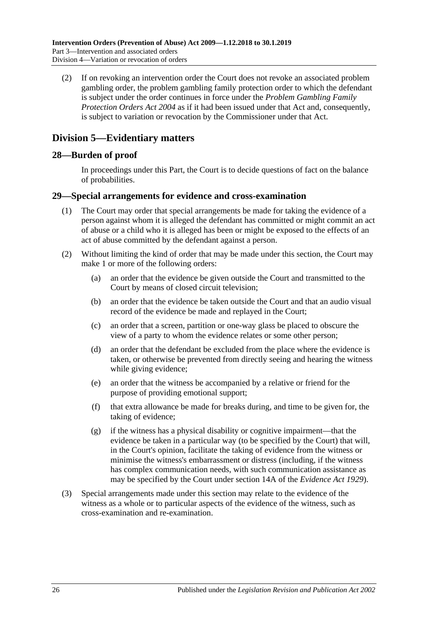(2) If on revoking an intervention order the Court does not revoke an associated problem gambling order, the problem gambling family protection order to which the defendant is subject under the order continues in force under the *[Problem Gambling Family](http://www.legislation.sa.gov.au/index.aspx?action=legref&type=act&legtitle=Problem%20Gambling%20Family%20Protection%20Orders%20Act%202004)  [Protection Orders Act](http://www.legislation.sa.gov.au/index.aspx?action=legref&type=act&legtitle=Problem%20Gambling%20Family%20Protection%20Orders%20Act%202004) 2004* as if it had been issued under that Act and, consequently, is subject to variation or revocation by the Commissioner under that Act.

## <span id="page-25-0"></span>**Division 5—Evidentiary matters**

### <span id="page-25-1"></span>**28—Burden of proof**

In proceedings under this Part, the Court is to decide questions of fact on the balance of probabilities.

### <span id="page-25-2"></span>**29—Special arrangements for evidence and cross-examination**

- (1) The Court may order that special arrangements be made for taking the evidence of a person against whom it is alleged the defendant has committed or might commit an act of abuse or a child who it is alleged has been or might be exposed to the effects of an act of abuse committed by the defendant against a person.
- (2) Without limiting the kind of order that may be made under this section, the Court may make 1 or more of the following orders:
	- (a) an order that the evidence be given outside the Court and transmitted to the Court by means of closed circuit television;
	- (b) an order that the evidence be taken outside the Court and that an audio visual record of the evidence be made and replayed in the Court;
	- (c) an order that a screen, partition or one-way glass be placed to obscure the view of a party to whom the evidence relates or some other person;
	- (d) an order that the defendant be excluded from the place where the evidence is taken, or otherwise be prevented from directly seeing and hearing the witness while giving evidence;
	- (e) an order that the witness be accompanied by a relative or friend for the purpose of providing emotional support;
	- (f) that extra allowance be made for breaks during, and time to be given for, the taking of evidence;
	- (g) if the witness has a physical disability or cognitive impairment—that the evidence be taken in a particular way (to be specified by the Court) that will, in the Court's opinion, facilitate the taking of evidence from the witness or minimise the witness's embarrassment or distress (including, if the witness has complex communication needs, with such communication assistance as may be specified by the Court under section 14A of the *[Evidence Act](http://www.legislation.sa.gov.au/index.aspx?action=legref&type=act&legtitle=Evidence%20Act%201929) 1929*).
- (3) Special arrangements made under this section may relate to the evidence of the witness as a whole or to particular aspects of the evidence of the witness, such as cross-examination and re-examination.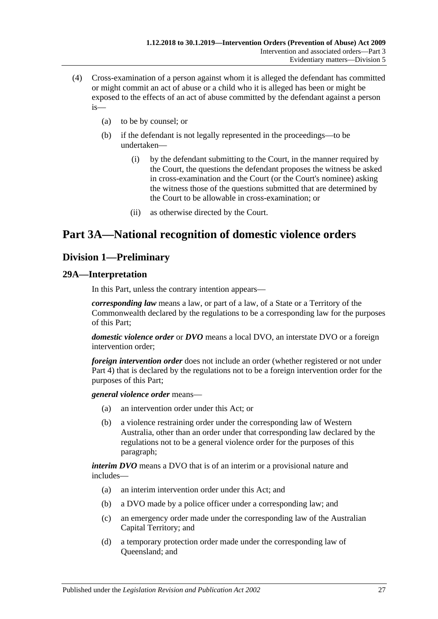- (4) Cross-examination of a person against whom it is alleged the defendant has committed or might commit an act of abuse or a child who it is alleged has been or might be exposed to the effects of an act of abuse committed by the defendant against a person is—
	- (a) to be by counsel; or
	- (b) if the defendant is not legally represented in the proceedings—to be undertaken—
		- (i) by the defendant submitting to the Court, in the manner required by the Court, the questions the defendant proposes the witness be asked in cross-examination and the Court (or the Court's nominee) asking the witness those of the questions submitted that are determined by the Court to be allowable in cross-examination; or
		- (ii) as otherwise directed by the Court.

## <span id="page-26-0"></span>**Part 3A—National recognition of domestic violence orders**

## <span id="page-26-1"></span>**Division 1—Preliminary**

## <span id="page-26-2"></span>**29A—Interpretation**

In this Part, unless the contrary intention appears—

*corresponding law* means a law, or part of a law, of a State or a Territory of the Commonwealth declared by the regulations to be a corresponding law for the purposes of this Part;

*domestic violence order* or *DVO* means a local DVO, an interstate DVO or a foreign intervention order;

*foreign intervention order* does not include an order (whether registered or not under [Part 4\)](#page-38-1) that is declared by the regulations not to be a foreign intervention order for the purposes of this Part;

*general violence order* means—

- (a) an intervention order under this Act; or
- (b) a violence restraining order under the corresponding law of Western Australia, other than an order under that corresponding law declared by the regulations not to be a general violence order for the purposes of this paragraph;

*interim DVO* means a DVO that is of an interim or a provisional nature and includes—

- (a) an interim intervention order under this Act; and
- (b) a DVO made by a police officer under a corresponding law; and
- (c) an emergency order made under the corresponding law of the Australian Capital Territory; and
- (d) a temporary protection order made under the corresponding law of Queensland; and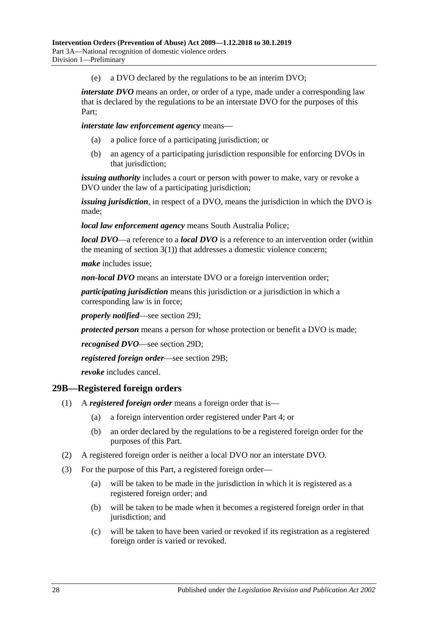(e) a DVO declared by the regulations to be an interim DVO;

*interstate DVO* means an order, or order of a type, made under a corresponding law that is declared by the regulations to be an interstate DVO for the purposes of this Part;

*interstate law enforcement agency* means—

- (a) a police force of a participating jurisdiction; or
- (b) an agency of a participating jurisdiction responsible for enforcing DVOs in that jurisdiction;

*issuing authority* includes a court or person with power to make, vary or revoke a DVO under the law of a participating jurisdiction;

*issuing jurisdiction*, in respect of a DVO, means the jurisdiction in which the DVO is made;

*local law enforcement agency* means South Australia Police;

*local DVO*—a reference to a *local DVO* is a reference to an intervention order (within the meaning of [section](#page-3-3)  $3(1)$ ) that addresses a domestic violence concern;

*make* includes issue;

*non-local DVO* means an interstate DVO or a foreign intervention order;

*participating jurisdiction* means this jurisdiction or a jurisdiction in which a corresponding law is in force;

*properly notified*—see [section](#page-30-3) 29J;

*protected person* means a person for whose protection or benefit a DVO is made;

*recognised DVO*—see [section](#page-28-3) 29D;

*registered foreign order*—see [section](#page-27-0) 29B;

*revoke* includes cancel.

## <span id="page-27-0"></span>**29B—Registered foreign orders**

- (1) A *registered foreign order* means a foreign order that is—
	- (a) a foreign intervention order registered under [Part 4;](#page-38-1) or
	- (b) an order declared by the regulations to be a registered foreign order for the purposes of this Part.
- (2) A registered foreign order is neither a local DVO nor an interstate DVO.
- (3) For the purpose of this Part, a registered foreign order—
	- (a) will be taken to be made in the jurisdiction in which it is registered as a registered foreign order; and
	- (b) will be taken to be made when it becomes a registered foreign order in that jurisdiction; and
	- (c) will be taken to have been varied or revoked if its registration as a registered foreign order is varied or revoked.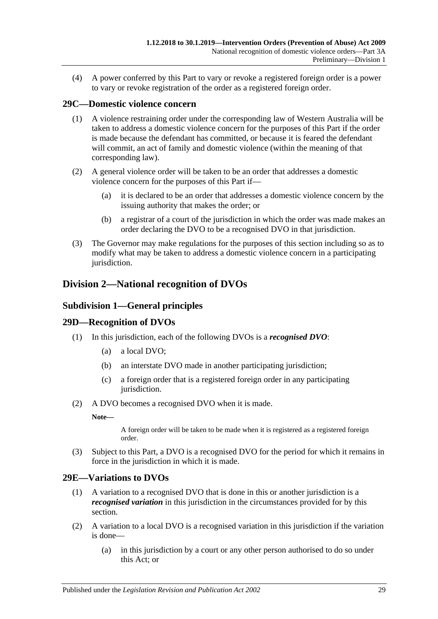(4) A power conferred by this Part to vary or revoke a registered foreign order is a power to vary or revoke registration of the order as a registered foreign order.

## <span id="page-28-0"></span>**29C—Domestic violence concern**

- (1) A violence restraining order under the corresponding law of Western Australia will be taken to address a domestic violence concern for the purposes of this Part if the order is made because the defendant has committed, or because it is feared the defendant will commit, an act of family and domestic violence (within the meaning of that corresponding law).
- (2) A general violence order will be taken to be an order that addresses a domestic violence concern for the purposes of this Part if—
	- (a) it is declared to be an order that addresses a domestic violence concern by the issuing authority that makes the order; or
	- (b) a registrar of a court of the jurisdiction in which the order was made makes an order declaring the DVO to be a recognised DVO in that jurisdiction.
- (3) The Governor may make regulations for the purposes of this section including so as to modify what may be taken to address a domestic violence concern in a participating jurisdiction.

## <span id="page-28-2"></span><span id="page-28-1"></span>**Division 2—National recognition of DVOs**

## **Subdivision 1—General principles**

## <span id="page-28-3"></span>**29D—Recognition of DVOs**

- (1) In this jurisdiction, each of the following DVOs is a *recognised DVO*:
	- (a) a local DVO;
	- (b) an interstate DVO made in another participating jurisdiction;
	- (c) a foreign order that is a registered foreign order in any participating jurisdiction.
- (2) A DVO becomes a recognised DVO when it is made.

**Note—**

A foreign order will be taken to be made when it is registered as a registered foreign order.

(3) Subject to this Part, a DVO is a recognised DVO for the period for which it remains in force in the jurisdiction in which it is made.

#### <span id="page-28-4"></span>**29E—Variations to DVOs**

- (1) A variation to a recognised DVO that is done in this or another jurisdiction is a *recognised variation* in this jurisdiction in the circumstances provided for by this section.
- (2) A variation to a local DVO is a recognised variation in this jurisdiction if the variation is done—
	- (a) in this jurisdiction by a court or any other person authorised to do so under this Act; or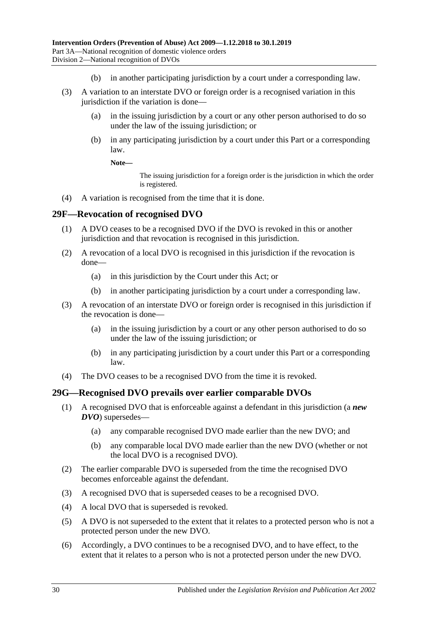- (b) in another participating jurisdiction by a court under a corresponding law.
- (3) A variation to an interstate DVO or foreign order is a recognised variation in this jurisdiction if the variation is done—
	- (a) in the issuing jurisdiction by a court or any other person authorised to do so under the law of the issuing jurisdiction; or
	- (b) in any participating jurisdiction by a court under this Part or a corresponding law.

#### **Note—**

The issuing jurisdiction for a foreign order is the jurisdiction in which the order is registered.

(4) A variation is recognised from the time that it is done.

#### <span id="page-29-0"></span>**29F—Revocation of recognised DVO**

- (1) A DVO ceases to be a recognised DVO if the DVO is revoked in this or another jurisdiction and that revocation is recognised in this jurisdiction.
- (2) A revocation of a local DVO is recognised in this jurisdiction if the revocation is done—
	- (a) in this jurisdiction by the Court under this Act; or
	- (b) in another participating jurisdiction by a court under a corresponding law.
- (3) A revocation of an interstate DVO or foreign order is recognised in this jurisdiction if the revocation is done—
	- (a) in the issuing jurisdiction by a court or any other person authorised to do so under the law of the issuing jurisdiction; or
	- (b) in any participating jurisdiction by a court under this Part or a corresponding law.
- (4) The DVO ceases to be a recognised DVO from the time it is revoked.

#### <span id="page-29-1"></span>**29G—Recognised DVO prevails over earlier comparable DVOs**

- (1) A recognised DVO that is enforceable against a defendant in this jurisdiction (a *new DVO*) supersedes—
	- (a) any comparable recognised DVO made earlier than the new DVO; and
	- (b) any comparable local DVO made earlier than the new DVO (whether or not the local DVO is a recognised DVO).
- (2) The earlier comparable DVO is superseded from the time the recognised DVO becomes enforceable against the defendant.
- (3) A recognised DVO that is superseded ceases to be a recognised DVO.
- (4) A local DVO that is superseded is revoked.
- (5) A DVO is not superseded to the extent that it relates to a protected person who is not a protected person under the new DVO.
- (6) Accordingly, a DVO continues to be a recognised DVO, and to have effect, to the extent that it relates to a person who is not a protected person under the new DVO.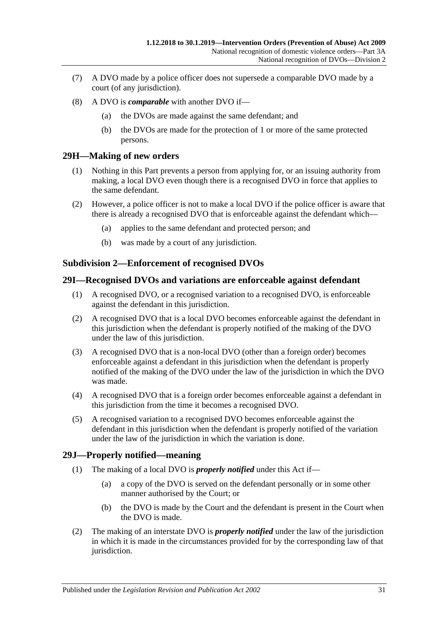- (7) A DVO made by a police officer does not supersede a comparable DVO made by a court (of any jurisdiction).
- (8) A DVO is *comparable* with another DVO if—
	- (a) the DVOs are made against the same defendant; and
	- (b) the DVOs are made for the protection of 1 or more of the same protected persons.

## <span id="page-30-0"></span>**29H—Making of new orders**

- (1) Nothing in this Part prevents a person from applying for, or an issuing authority from making, a local DVO even though there is a recognised DVO in force that applies to the same defendant.
- (2) However, a police officer is not to make a local DVO if the police officer is aware that there is already a recognised DVO that is enforceable against the defendant which—
	- (a) applies to the same defendant and protected person; and
	- (b) was made by a court of any jurisdiction.

## <span id="page-30-1"></span>**Subdivision 2—Enforcement of recognised DVOs**

#### <span id="page-30-2"></span>**29I—Recognised DVOs and variations are enforceable against defendant**

- (1) A recognised DVO, or a recognised variation to a recognised DVO, is enforceable against the defendant in this jurisdiction.
- (2) A recognised DVO that is a local DVO becomes enforceable against the defendant in this jurisdiction when the defendant is properly notified of the making of the DVO under the law of this jurisdiction.
- (3) A recognised DVO that is a non-local DVO (other than a foreign order) becomes enforceable against a defendant in this jurisdiction when the defendant is properly notified of the making of the DVO under the law of the jurisdiction in which the DVO was made.
- (4) A recognised DVO that is a foreign order becomes enforceable against a defendant in this jurisdiction from the time it becomes a recognised DVO.
- (5) A recognised variation to a recognised DVO becomes enforceable against the defendant in this jurisdiction when the defendant is properly notified of the variation under the law of the jurisdiction in which the variation is done.

## <span id="page-30-3"></span>**29J—Properly notified—meaning**

- (1) The making of a local DVO is *properly notified* under this Act if—
	- (a) a copy of the DVO is served on the defendant personally or in some other manner authorised by the Court; or
	- (b) the DVO is made by the Court and the defendant is present in the Court when the DVO is made.
- (2) The making of an interstate DVO is *properly notified* under the law of the jurisdiction in which it is made in the circumstances provided for by the corresponding law of that jurisdiction.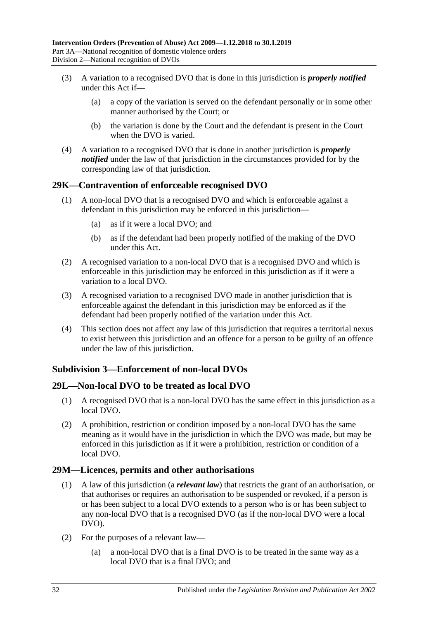- (3) A variation to a recognised DVO that is done in this jurisdiction is *properly notified* under this Act if—
	- (a) a copy of the variation is served on the defendant personally or in some other manner authorised by the Court; or
	- (b) the variation is done by the Court and the defendant is present in the Court when the DVO is varied.
- (4) A variation to a recognised DVO that is done in another jurisdiction is *properly notified* under the law of that jurisdiction in the circumstances provided for by the corresponding law of that jurisdiction.

## <span id="page-31-0"></span>**29K—Contravention of enforceable recognised DVO**

- (1) A non-local DVO that is a recognised DVO and which is enforceable against a defendant in this jurisdiction may be enforced in this jurisdiction—
	- (a) as if it were a local DVO; and
	- (b) as if the defendant had been properly notified of the making of the DVO under this Act.
- (2) A recognised variation to a non-local DVO that is a recognised DVO and which is enforceable in this jurisdiction may be enforced in this jurisdiction as if it were a variation to a local DVO.
- (3) A recognised variation to a recognised DVO made in another jurisdiction that is enforceable against the defendant in this jurisdiction may be enforced as if the defendant had been properly notified of the variation under this Act.
- (4) This section does not affect any law of this jurisdiction that requires a territorial nexus to exist between this jurisdiction and an offence for a person to be guilty of an offence under the law of this jurisdiction.

## <span id="page-31-1"></span>**Subdivision 3—Enforcement of non-local DVOs**

## <span id="page-31-2"></span>**29L—Non-local DVO to be treated as local DVO**

- (1) A recognised DVO that is a non-local DVO has the same effect in this jurisdiction as a local DVO.
- (2) A prohibition, restriction or condition imposed by a non-local DVO has the same meaning as it would have in the jurisdiction in which the DVO was made, but may be enforced in this jurisdiction as if it were a prohibition, restriction or condition of a local DVO.

## <span id="page-31-3"></span>**29M—Licences, permits and other authorisations**

- (1) A law of this jurisdiction (a *relevant law*) that restricts the grant of an authorisation, or that authorises or requires an authorisation to be suspended or revoked, if a person is or has been subject to a local DVO extends to a person who is or has been subject to any non-local DVO that is a recognised DVO (as if the non-local DVO were a local DVO).
- (2) For the purposes of a relevant law—
	- (a) a non-local DVO that is a final DVO is to be treated in the same way as a local DVO that is a final DVO; and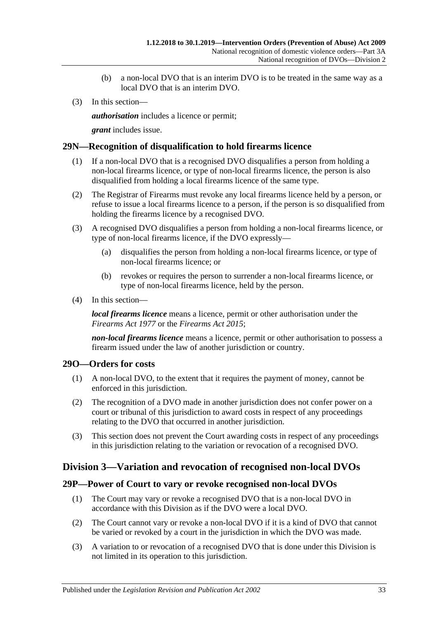- (b) a non-local DVO that is an interim DVO is to be treated in the same way as a local DVO that is an interim DVO.
- (3) In this section—

*authorisation* includes a licence or permit;

*grant* includes issue.

## <span id="page-32-0"></span>**29N—Recognition of disqualification to hold firearms licence**

- (1) If a non-local DVO that is a recognised DVO disqualifies a person from holding a non-local firearms licence, or type of non-local firearms licence, the person is also disqualified from holding a local firearms licence of the same type.
- (2) The Registrar of Firearms must revoke any local firearms licence held by a person, or refuse to issue a local firearms licence to a person, if the person is so disqualified from holding the firearms licence by a recognised DVO.
- (3) A recognised DVO disqualifies a person from holding a non-local firearms licence, or type of non-local firearms licence, if the DVO expressly—
	- (a) disqualifies the person from holding a non-local firearms licence, or type of non-local firearms licence; or
	- (b) revokes or requires the person to surrender a non-local firearms licence, or type of non-local firearms licence, held by the person.
- (4) In this section—

*local firearms licence* means a licence, permit or other authorisation under the *[Firearms Act](http://www.legislation.sa.gov.au/index.aspx?action=legref&type=act&legtitle=Firearms%20Act%201977) 1977* or the *[Firearms Act](http://www.legislation.sa.gov.au/index.aspx?action=legref&type=act&legtitle=Firearms%20Act%202015) 2015*;

*non-local firearms licence* means a licence, permit or other authorisation to possess a firearm issued under the law of another jurisdiction or country.

## <span id="page-32-1"></span>**29O—Orders for costs**

- (1) A non-local DVO, to the extent that it requires the payment of money, cannot be enforced in this jurisdiction.
- (2) The recognition of a DVO made in another jurisdiction does not confer power on a court or tribunal of this jurisdiction to award costs in respect of any proceedings relating to the DVO that occurred in another jurisdiction.
- (3) This section does not prevent the Court awarding costs in respect of any proceedings in this jurisdiction relating to the variation or revocation of a recognised DVO.

## <span id="page-32-2"></span>**Division 3—Variation and revocation of recognised non-local DVOs**

#### <span id="page-32-3"></span>**29P—Power of Court to vary or revoke recognised non-local DVOs**

- (1) The Court may vary or revoke a recognised DVO that is a non-local DVO in accordance with this Division as if the DVO were a local DVO.
- (2) The Court cannot vary or revoke a non-local DVO if it is a kind of DVO that cannot be varied or revoked by a court in the jurisdiction in which the DVO was made.
- (3) A variation to or revocation of a recognised DVO that is done under this Division is not limited in its operation to this jurisdiction.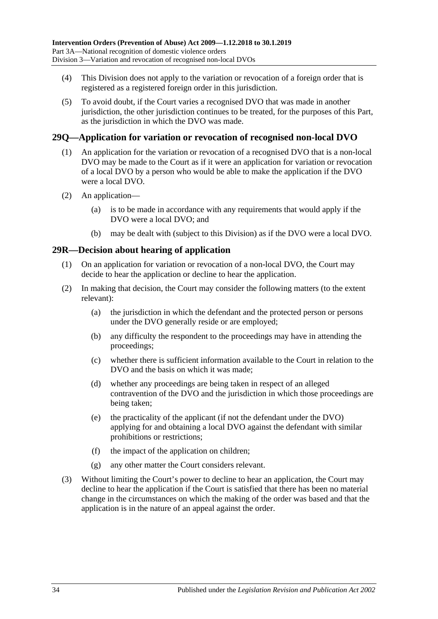- (4) This Division does not apply to the variation or revocation of a foreign order that is registered as a registered foreign order in this jurisdiction.
- (5) To avoid doubt, if the Court varies a recognised DVO that was made in another jurisdiction, the other jurisdiction continues to be treated, for the purposes of this Part, as the jurisdiction in which the DVO was made.

## <span id="page-33-0"></span>**29Q—Application for variation or revocation of recognised non-local DVO**

- (1) An application for the variation or revocation of a recognised DVO that is a non-local DVO may be made to the Court as if it were an application for variation or revocation of a local DVO by a person who would be able to make the application if the DVO were a local DVO.
- (2) An application—
	- (a) is to be made in accordance with any requirements that would apply if the DVO were a local DVO; and
	- (b) may be dealt with (subject to this Division) as if the DVO were a local DVO.

#### <span id="page-33-1"></span>**29R—Decision about hearing of application**

- (1) On an application for variation or revocation of a non-local DVO, the Court may decide to hear the application or decline to hear the application.
- (2) In making that decision, the Court may consider the following matters (to the extent relevant):
	- (a) the jurisdiction in which the defendant and the protected person or persons under the DVO generally reside or are employed;
	- (b) any difficulty the respondent to the proceedings may have in attending the proceedings;
	- (c) whether there is sufficient information available to the Court in relation to the DVO and the basis on which it was made;
	- (d) whether any proceedings are being taken in respect of an alleged contravention of the DVO and the jurisdiction in which those proceedings are being taken;
	- (e) the practicality of the applicant (if not the defendant under the DVO) applying for and obtaining a local DVO against the defendant with similar prohibitions or restrictions;
	- (f) the impact of the application on children;
	- (g) any other matter the Court considers relevant.
- (3) Without limiting the Court's power to decline to hear an application, the Court may decline to hear the application if the Court is satisfied that there has been no material change in the circumstances on which the making of the order was based and that the application is in the nature of an appeal against the order.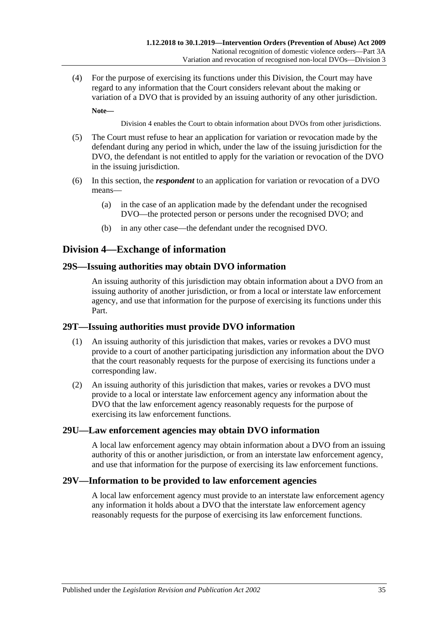(4) For the purpose of exercising its functions under this Division, the Court may have regard to any information that the Court considers relevant about the making or variation of a DVO that is provided by an issuing authority of any other jurisdiction. **Note—**

[Division](#page-34-0) 4 enables the Court to obtain information about DVOs from other jurisdictions.

- (5) The Court must refuse to hear an application for variation or revocation made by the defendant during any period in which, under the law of the issuing jurisdiction for the DVO, the defendant is not entitled to apply for the variation or revocation of the DVO in the issuing jurisdiction.
- (6) In this section, the *respondent* to an application for variation or revocation of a DVO means—
	- (a) in the case of an application made by the defendant under the recognised DVO—the protected person or persons under the recognised DVO; and
	- (b) in any other case—the defendant under the recognised DVO.

## <span id="page-34-0"></span>**Division 4—Exchange of information**

## <span id="page-34-1"></span>**29S—Issuing authorities may obtain DVO information**

An issuing authority of this jurisdiction may obtain information about a DVO from an issuing authority of another jurisdiction, or from a local or interstate law enforcement agency, and use that information for the purpose of exercising its functions under this Part.

## <span id="page-34-2"></span>**29T—Issuing authorities must provide DVO information**

- (1) An issuing authority of this jurisdiction that makes, varies or revokes a DVO must provide to a court of another participating jurisdiction any information about the DVO that the court reasonably requests for the purpose of exercising its functions under a corresponding law.
- (2) An issuing authority of this jurisdiction that makes, varies or revokes a DVO must provide to a local or interstate law enforcement agency any information about the DVO that the law enforcement agency reasonably requests for the purpose of exercising its law enforcement functions.

## <span id="page-34-3"></span>**29U—Law enforcement agencies may obtain DVO information**

A local law enforcement agency may obtain information about a DVO from an issuing authority of this or another jurisdiction, or from an interstate law enforcement agency, and use that information for the purpose of exercising its law enforcement functions.

## <span id="page-34-4"></span>**29V—Information to be provided to law enforcement agencies**

A local law enforcement agency must provide to an interstate law enforcement agency any information it holds about a DVO that the interstate law enforcement agency reasonably requests for the purpose of exercising its law enforcement functions.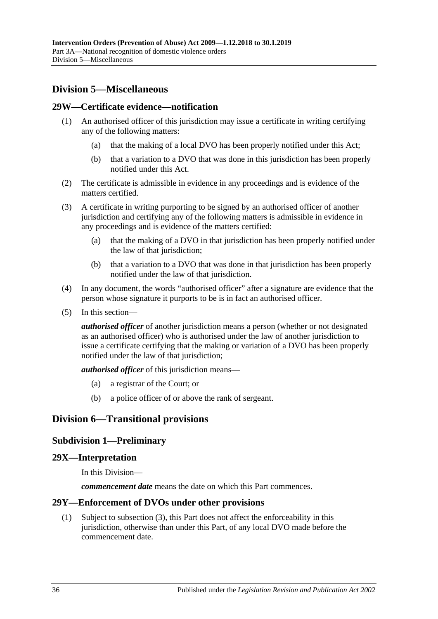## <span id="page-35-0"></span>**Division 5—Miscellaneous**

### <span id="page-35-1"></span>**29W—Certificate evidence—notification**

- (1) An authorised officer of this jurisdiction may issue a certificate in writing certifying any of the following matters:
	- (a) that the making of a local DVO has been properly notified under this Act;
	- (b) that a variation to a DVO that was done in this jurisdiction has been properly notified under this Act.
- (2) The certificate is admissible in evidence in any proceedings and is evidence of the matters certified.
- (3) A certificate in writing purporting to be signed by an authorised officer of another jurisdiction and certifying any of the following matters is admissible in evidence in any proceedings and is evidence of the matters certified:
	- (a) that the making of a DVO in that jurisdiction has been properly notified under the law of that jurisdiction;
	- (b) that a variation to a DVO that was done in that jurisdiction has been properly notified under the law of that jurisdiction.
- (4) In any document, the words "authorised officer" after a signature are evidence that the person whose signature it purports to be is in fact an authorised officer.
- (5) In this section—

*authorised officer* of another jurisdiction means a person (whether or not designated as an authorised officer) who is authorised under the law of another jurisdiction to issue a certificate certifying that the making or variation of a DVO has been properly notified under the law of that jurisdiction;

*authorised officer* of this jurisdiction means—

- (a) a registrar of the Court; or
- (b) a police officer of or above the rank of sergeant.

## <span id="page-35-3"></span><span id="page-35-2"></span>**Division 6—Transitional provisions**

## **Subdivision 1—Preliminary**

#### <span id="page-35-4"></span>**29X—Interpretation**

In this Division—

*commencement date* means the date on which this Part commences.

#### <span id="page-35-5"></span>**29Y—Enforcement of DVOs under other provisions**

(1) Subject to [subsection](#page-36-5) (3), this Part does not affect the enforceability in this jurisdiction, otherwise than under this Part, of any local DVO made before the commencement date.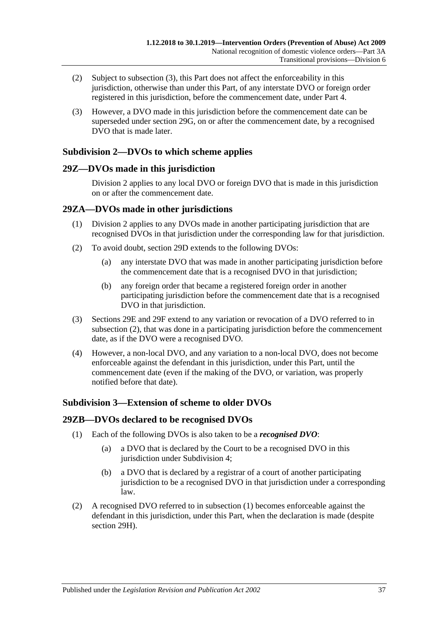- (2) Subject to [subsection](#page-36-5) (3), this Part does not affect the enforceability in this jurisdiction, otherwise than under this Part, of any interstate DVO or foreign order registered in this jurisdiction, before the commencement date, under [Part 4.](#page-38-1)
- <span id="page-36-5"></span>(3) However, a DVO made in this jurisdiction before the commencement date can be superseded under [section](#page-29-1) 29G, on or after the commencement date, by a recognised DVO that is made later.

## <span id="page-36-0"></span>**Subdivision 2—DVOs to which scheme applies**

## <span id="page-36-1"></span>**29Z—DVOs made in this jurisdiction**

[Division](#page-28-1) 2 applies to any local DVO or foreign DVO that is made in this jurisdiction on or after the commencement date.

## <span id="page-36-2"></span>**29ZA—DVOs made in other jurisdictions**

- (1) [Division](#page-28-1) 2 applies to any DVOs made in another participating jurisdiction that are recognised DVOs in that jurisdiction under the corresponding law for that jurisdiction.
- <span id="page-36-6"></span>(2) To avoid doubt, [section](#page-28-3) 29D extends to the following DVOs:
	- (a) any interstate DVO that was made in another participating jurisdiction before the commencement date that is a recognised DVO in that jurisdiction;
	- (b) any foreign order that became a registered foreign order in another participating jurisdiction before the commencement date that is a recognised DVO in that jurisdiction.
- (3) [Sections 29E](#page-28-4) and [29F](#page-29-0) extend to any variation or revocation of a DVO referred to in [subsection](#page-36-6) (2), that was done in a participating jurisdiction before the commencement date, as if the DVO were a recognised DVO.
- (4) However, a non-local DVO, and any variation to a non-local DVO, does not become enforceable against the defendant in this jurisdiction, under this Part, until the commencement date (even if the making of the DVO, or variation, was properly notified before that date).

## <span id="page-36-3"></span>**Subdivision 3—Extension of scheme to older DVOs**

## <span id="page-36-7"></span><span id="page-36-4"></span>**29ZB—DVOs declared to be recognised DVOs**

- (1) Each of the following DVOs is also taken to be a *recognised DVO*:
	- (a) a DVO that is declared by the Court to be a recognised DVO in this jurisdiction under [Subdivision](#page-37-1) 4;
	- (b) a DVO that is declared by a registrar of a court of another participating jurisdiction to be a recognised DVO in that jurisdiction under a corresponding law.
- (2) A recognised DVO referred to in [subsection](#page-36-7) (1) becomes enforceable against the defendant in this jurisdiction, under this Part, when the declaration is made (despite [section](#page-30-0) 29H).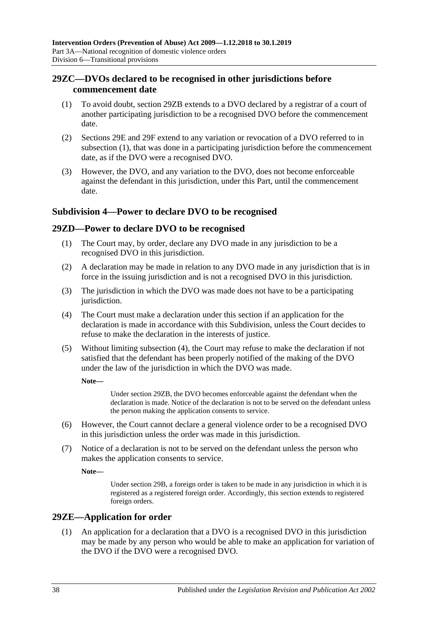## <span id="page-37-0"></span>**29ZC—DVOs declared to be recognised in other jurisdictions before commencement date**

- <span id="page-37-4"></span>(1) To avoid doubt, [section](#page-36-4) 29ZB extends to a DVO declared by a registrar of a court of another participating jurisdiction to be a recognised DVO before the commencement date.
- (2) [Sections 29E](#page-28-4) and [29F](#page-29-0) extend to any variation or revocation of a DVO referred to in [subsection](#page-37-4) (1), that was done in a participating jurisdiction before the commencement date, as if the DVO were a recognised DVO.
- (3) However, the DVO, and any variation to the DVO, does not become enforceable against the defendant in this jurisdiction, under this Part, until the commencement date.

## <span id="page-37-1"></span>**Subdivision 4—Power to declare DVO to be recognised**

## <span id="page-37-2"></span>**29ZD—Power to declare DVO to be recognised**

- (1) The Court may, by order, declare any DVO made in any jurisdiction to be a recognised DVO in this jurisdiction.
- (2) A declaration may be made in relation to any DVO made in any jurisdiction that is in force in the issuing jurisdiction and is not a recognised DVO in this jurisdiction.
- (3) The jurisdiction in which the DVO was made does not have to be a participating jurisdiction.
- <span id="page-37-5"></span>(4) The Court must make a declaration under this section if an application for the declaration is made in accordance with this Subdivision, unless the Court decides to refuse to make the declaration in the interests of justice.
- (5) Without limiting [subsection](#page-37-5) (4), the Court may refuse to make the declaration if not satisfied that the defendant has been properly notified of the making of the DVO under the law of the jurisdiction in which the DVO was made.

**Note—**

Under [section](#page-36-4) 29ZB, the DVO becomes enforceable against the defendant when the declaration is made. Notice of the declaration is not to be served on the defendant unless the person making the application consents to service.

- (6) However, the Court cannot declare a general violence order to be a recognised DVO in this jurisdiction unless the order was made in this jurisdiction.
- (7) Notice of a declaration is not to be served on the defendant unless the person who makes the application consents to service.

**Note—**

Under [section](#page-27-0) 29B, a foreign order is taken to be made in any jurisdiction in which it is registered as a registered foreign order. Accordingly, this section extends to registered foreign orders.

## <span id="page-37-3"></span>**29ZE—Application for order**

(1) An application for a declaration that a DVO is a recognised DVO in this jurisdiction may be made by any person who would be able to make an application for variation of the DVO if the DVO were a recognised DVO.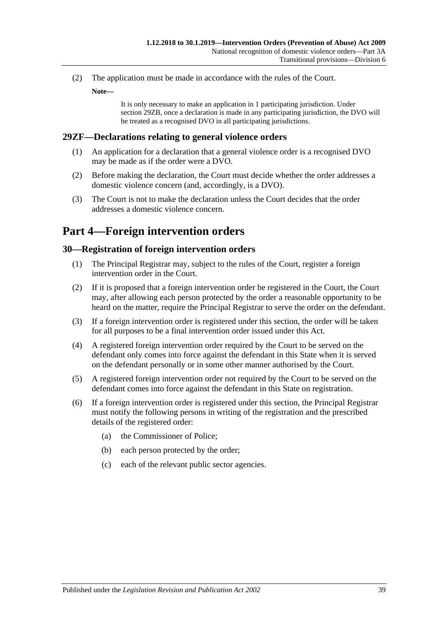(2) The application must be made in accordance with the rules of the Court.

**Note—**

It is only necessary to make an application in 1 participating jurisdiction. Under [section](#page-36-4) 29ZB, once a declaration is made in any participating jurisdiction, the DVO will be treated as a recognised DVO in all participating jurisdictions.

## <span id="page-38-0"></span>**29ZF—Declarations relating to general violence orders**

- (1) An application for a declaration that a general violence order is a recognised DVO may be made as if the order were a DVO.
- (2) Before making the declaration, the Court must decide whether the order addresses a domestic violence concern (and, accordingly, is a DVO).
- (3) The Court is not to make the declaration unless the Court decides that the order addresses a domestic violence concern.

## <span id="page-38-1"></span>**Part 4—Foreign intervention orders**

#### <span id="page-38-2"></span>**30—Registration of foreign intervention orders**

- (1) The Principal Registrar may, subject to the rules of the Court, register a foreign intervention order in the Court.
- (2) If it is proposed that a foreign intervention order be registered in the Court, the Court may, after allowing each person protected by the order a reasonable opportunity to be heard on the matter, require the Principal Registrar to serve the order on the defendant.
- (3) If a foreign intervention order is registered under this section, the order will be taken for all purposes to be a final intervention order issued under this Act.
- (4) A registered foreign intervention order required by the Court to be served on the defendant only comes into force against the defendant in this State when it is served on the defendant personally or in some other manner authorised by the Court.
- (5) A registered foreign intervention order not required by the Court to be served on the defendant comes into force against the defendant in this State on registration.
- (6) If a foreign intervention order is registered under this section, the Principal Registrar must notify the following persons in writing of the registration and the prescribed details of the registered order:
	- (a) the Commissioner of Police;
	- (b) each person protected by the order;
	- (c) each of the relevant public sector agencies.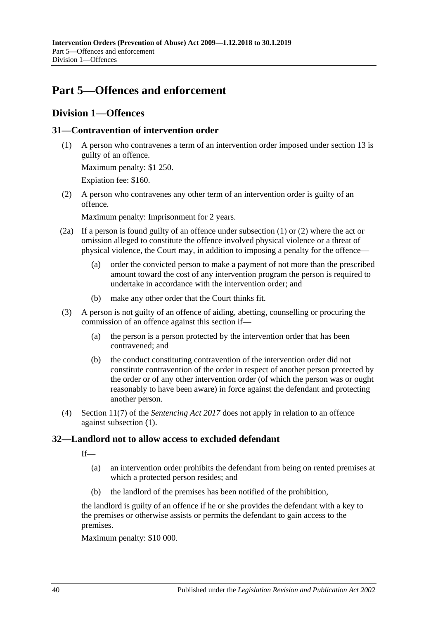## <span id="page-39-0"></span>**Part 5—Offences and enforcement**

## <span id="page-39-1"></span>**Division 1—Offences**

## <span id="page-39-4"></span><span id="page-39-2"></span>**31—Contravention of intervention order**

(1) A person who contravenes a term of an intervention order imposed under [section](#page-12-0) 13 is guilty of an offence.

Maximum penalty: \$1 250.

Expiation fee: \$160.

<span id="page-39-5"></span>(2) A person who contravenes any other term of an intervention order is guilty of an offence.

Maximum penalty: Imprisonment for 2 years.

- (2a) If a person is found guilty of an offence under [subsection](#page-39-4) (1) or [\(2\)](#page-39-5) where the act or omission alleged to constitute the offence involved physical violence or a threat of physical violence, the Court may, in addition to imposing a penalty for the offence—
	- (a) order the convicted person to make a payment of not more than the prescribed amount toward the cost of any intervention program the person is required to undertake in accordance with the intervention order; and
	- (b) make any other order that the Court thinks fit.
- (3) A person is not guilty of an offence of aiding, abetting, counselling or procuring the commission of an offence against this section if—
	- (a) the person is a person protected by the intervention order that has been contravened; and
	- (b) the conduct constituting contravention of the intervention order did not constitute contravention of the order in respect of another person protected by the order or of any other intervention order (of which the person was or ought reasonably to have been aware) in force against the defendant and protecting another person.
- (4) Section 11(7) of the *[Sentencing Act](http://www.legislation.sa.gov.au/index.aspx?action=legref&type=act&legtitle=Sentencing%20Act%202017) 2017* does not apply in relation to an offence against [subsection](#page-39-4) (1).

## <span id="page-39-3"></span>**32—Landlord not to allow access to excluded defendant**

 $If$ 

- (a) an intervention order prohibits the defendant from being on rented premises at which a protected person resides; and
- (b) the landlord of the premises has been notified of the prohibition,

the landlord is guilty of an offence if he or she provides the defendant with a key to the premises or otherwise assists or permits the defendant to gain access to the premises.

Maximum penalty: \$10 000.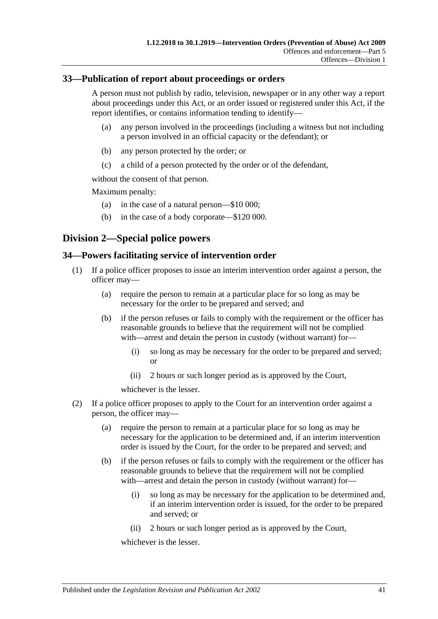### <span id="page-40-0"></span>**33—Publication of report about proceedings or orders**

A person must not publish by radio, television, newspaper or in any other way a report about proceedings under this Act, or an order issued or registered under this Act, if the report identifies, or contains information tending to identify—

- (a) any person involved in the proceedings (including a witness but not including a person involved in an official capacity or the defendant); or
- (b) any person protected by the order; or
- (c) a child of a person protected by the order or of the defendant,

without the consent of that person.

Maximum penalty:

- (a) in the case of a natural person—\$10 000;
- (b) in the case of a body corporate—\$120 000.

## <span id="page-40-1"></span>**Division 2—Special police powers**

### <span id="page-40-2"></span>**34—Powers facilitating service of intervention order**

- (1) If a police officer proposes to issue an interim intervention order against a person, the officer may—
	- (a) require the person to remain at a particular place for so long as may be necessary for the order to be prepared and served; and
	- (b) if the person refuses or fails to comply with the requirement or the officer has reasonable grounds to believe that the requirement will not be complied with—arrest and detain the person in custody (without warrant) for—
		- (i) so long as may be necessary for the order to be prepared and served; or
		- (ii) 2 hours or such longer period as is approved by the Court,

whichever is the lesser.

- (2) If a police officer proposes to apply to the Court for an intervention order against a person, the officer may—
	- (a) require the person to remain at a particular place for so long as may be necessary for the application to be determined and, if an interim intervention order is issued by the Court, for the order to be prepared and served; and
	- (b) if the person refuses or fails to comply with the requirement or the officer has reasonable grounds to believe that the requirement will not be complied with—arrest and detain the person in custody (without warrant) for—
		- (i) so long as may be necessary for the application to be determined and, if an interim intervention order is issued, for the order to be prepared and served; or
		- (ii) 2 hours or such longer period as is approved by the Court,

whichever is the lesser.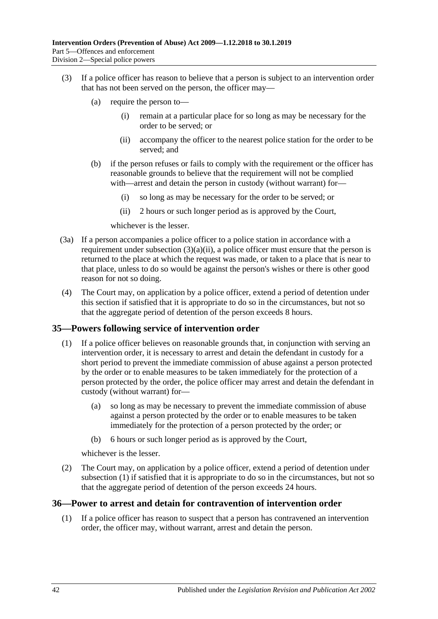- <span id="page-41-2"></span>(3) If a police officer has reason to believe that a person is subject to an intervention order that has not been served on the person, the officer may—
	- (a) require the person to—
		- (i) remain at a particular place for so long as may be necessary for the order to be served; or
		- (ii) accompany the officer to the nearest police station for the order to be served; and
	- (b) if the person refuses or fails to comply with the requirement or the officer has reasonable grounds to believe that the requirement will not be complied with—arrest and detain the person in custody (without warrant) for—
		- (i) so long as may be necessary for the order to be served; or
		- (ii) 2 hours or such longer period as is approved by the Court,

whichever is the lesser.

- (3a) If a person accompanies a police officer to a police station in accordance with a requirement under [subsection](#page-41-2)  $(3)(a)(ii)$ , a police officer must ensure that the person is returned to the place at which the request was made, or taken to a place that is near to that place, unless to do so would be against the person's wishes or there is other good reason for not so doing.
- (4) The Court may, on application by a police officer, extend a period of detention under this section if satisfied that it is appropriate to do so in the circumstances, but not so that the aggregate period of detention of the person exceeds 8 hours.

#### <span id="page-41-3"></span><span id="page-41-0"></span>**35—Powers following service of intervention order**

- (1) If a police officer believes on reasonable grounds that, in conjunction with serving an intervention order, it is necessary to arrest and detain the defendant in custody for a short period to prevent the immediate commission of abuse against a person protected by the order or to enable measures to be taken immediately for the protection of a person protected by the order, the police officer may arrest and detain the defendant in custody (without warrant) for—
	- (a) so long as may be necessary to prevent the immediate commission of abuse against a person protected by the order or to enable measures to be taken immediately for the protection of a person protected by the order; or
	- (b) 6 hours or such longer period as is approved by the Court,

whichever is the lesser.

(2) The Court may, on application by a police officer, extend a period of detention under [subsection](#page-41-3) (1) if satisfied that it is appropriate to do so in the circumstances, but not so that the aggregate period of detention of the person exceeds 24 hours.

#### <span id="page-41-1"></span>**36—Power to arrest and detain for contravention of intervention order**

(1) If a police officer has reason to suspect that a person has contravened an intervention order, the officer may, without warrant, arrest and detain the person.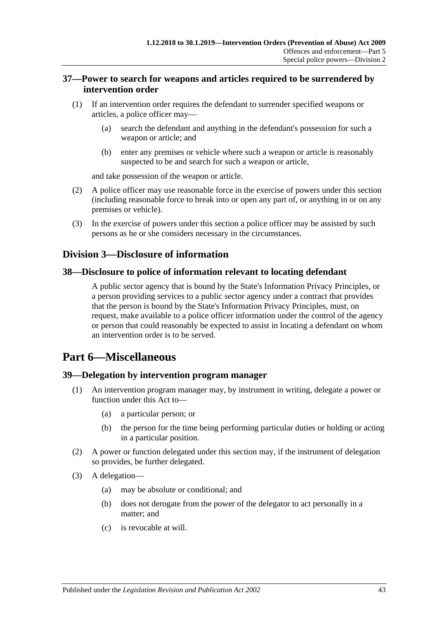## <span id="page-42-0"></span>**37—Power to search for weapons and articles required to be surrendered by intervention order**

- (1) If an intervention order requires the defendant to surrender specified weapons or articles, a police officer may—
	- (a) search the defendant and anything in the defendant's possession for such a weapon or article; and
	- (b) enter any premises or vehicle where such a weapon or article is reasonably suspected to be and search for such a weapon or article,

and take possession of the weapon or article.

- (2) A police officer may use reasonable force in the exercise of powers under this section (including reasonable force to break into or open any part of, or anything in or on any premises or vehicle).
- (3) In the exercise of powers under this section a police officer may be assisted by such persons as he or she considers necessary in the circumstances.

## <span id="page-42-1"></span>**Division 3—Disclosure of information**

### <span id="page-42-2"></span>**38—Disclosure to police of information relevant to locating defendant**

A public sector agency that is bound by the State's Information Privacy Principles, or a person providing services to a public sector agency under a contract that provides that the person is bound by the State's Information Privacy Principles, must, on request, make available to a police officer information under the control of the agency or person that could reasonably be expected to assist in locating a defendant on whom an intervention order is to be served.

## <span id="page-42-3"></span>**Part 6—Miscellaneous**

#### <span id="page-42-4"></span>**39—Delegation by intervention program manager**

- An intervention program manager may, by instrument in writing, delegate a power or function under this Act to—
	- (a) a particular person; or
	- (b) the person for the time being performing particular duties or holding or acting in a particular position.
- (2) A power or function delegated under this section may, if the instrument of delegation so provides, be further delegated.
- (3) A delegation—
	- (a) may be absolute or conditional; and
	- (b) does not derogate from the power of the delegator to act personally in a matter; and
	- (c) is revocable at will.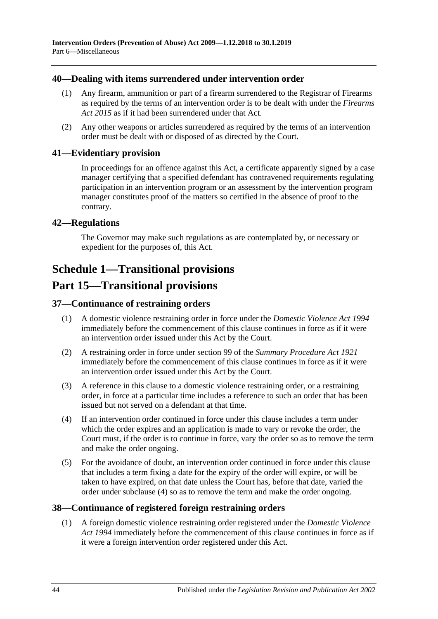### <span id="page-43-0"></span>**40—Dealing with items surrendered under intervention order**

- (1) Any firearm, ammunition or part of a firearm surrendered to the Registrar of Firearms as required by the terms of an intervention order is to be dealt with under the *[Firearms](http://www.legislation.sa.gov.au/index.aspx?action=legref&type=act&legtitle=Firearms%20Act%202015)  Act [2015](http://www.legislation.sa.gov.au/index.aspx?action=legref&type=act&legtitle=Firearms%20Act%202015)* as if it had been surrendered under that Act.
- (2) Any other weapons or articles surrendered as required by the terms of an intervention order must be dealt with or disposed of as directed by the Court.

### <span id="page-43-1"></span>**41—Evidentiary provision**

In proceedings for an offence against this Act, a certificate apparently signed by a case manager certifying that a specified defendant has contravened requirements regulating participation in an intervention program or an assessment by the intervention program manager constitutes proof of the matters so certified in the absence of proof to the contrary.

## <span id="page-43-2"></span>**42—Regulations**

The Governor may make such regulations as are contemplated by, or necessary or expedient for the purposes of, this Act.

## <span id="page-43-3"></span>**Schedule 1—Transitional provisions**

## **Part 15—Transitional provisions**

## <span id="page-43-4"></span>**37—Continuance of restraining orders**

- (1) A domestic violence restraining order in force under the *[Domestic Violence Act](http://www.legislation.sa.gov.au/index.aspx?action=legref&type=act&legtitle=Domestic%20Violence%20Act%201994) 1994* immediately before the commencement of this clause continues in force as if it were an intervention order issued under this Act by the Court.
- (2) A restraining order in force under section 99 of the *[Summary Procedure Act](http://www.legislation.sa.gov.au/index.aspx?action=legref&type=act&legtitle=Summary%20Procedure%20Act%201921) 1921* immediately before the commencement of this clause continues in force as if it were an intervention order issued under this Act by the Court.
- (3) A reference in this clause to a domestic violence restraining order, or a restraining order, in force at a particular time includes a reference to such an order that has been issued but not served on a defendant at that time.
- <span id="page-43-6"></span>(4) If an intervention order continued in force under this clause includes a term under which the order expires and an application is made to vary or revoke the order, the Court must, if the order is to continue in force, vary the order so as to remove the term and make the order ongoing.
- (5) For the avoidance of doubt, an intervention order continued in force under this clause that includes a term fixing a date for the expiry of the order will expire, or will be taken to have expired, on that date unless the Court has, before that date, varied the order under [subclause](#page-43-6) (4) so as to remove the term and make the order ongoing.

## <span id="page-43-5"></span>**38—Continuance of registered foreign restraining orders**

(1) A foreign domestic violence restraining order registered under the *[Domestic Violence](http://www.legislation.sa.gov.au/index.aspx?action=legref&type=act&legtitle=Domestic%20Violence%20Act%201994)  Act [1994](http://www.legislation.sa.gov.au/index.aspx?action=legref&type=act&legtitle=Domestic%20Violence%20Act%201994)* immediately before the commencement of this clause continues in force as if it were a foreign intervention order registered under this Act.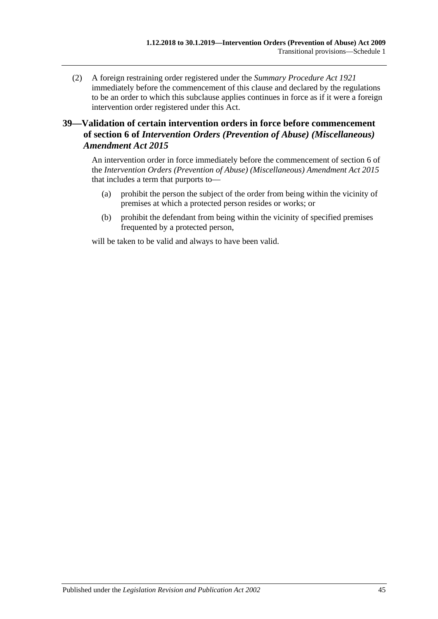(2) A foreign restraining order registered under the *[Summary Procedure Act](http://www.legislation.sa.gov.au/index.aspx?action=legref&type=act&legtitle=Summary%20Procedure%20Act%201921) 1921* immediately before the commencement of this clause and declared by the regulations to be an order to which this subclause applies continues in force as if it were a foreign intervention order registered under this Act.

## <span id="page-44-0"></span>**39—Validation of certain intervention orders in force before commencement of section 6 of** *Intervention Orders (Prevention of Abuse) (Miscellaneous) Amendment Act 2015*

An intervention order in force immediately before the commencement of section 6 of the *[Intervention Orders \(Prevention of Abuse\) \(Miscellaneous\) Amendment Act](http://www.legislation.sa.gov.au/index.aspx?action=legref&type=act&legtitle=Intervention%20Orders%20(Prevention%20of%20Abuse)%20(Miscellaneous)%20Amendment%20Act%202015) 2015* that includes a term that purports to—

- (a) prohibit the person the subject of the order from being within the vicinity of premises at which a protected person resides or works; or
- (b) prohibit the defendant from being within the vicinity of specified premises frequented by a protected person,

will be taken to be valid and always to have been valid.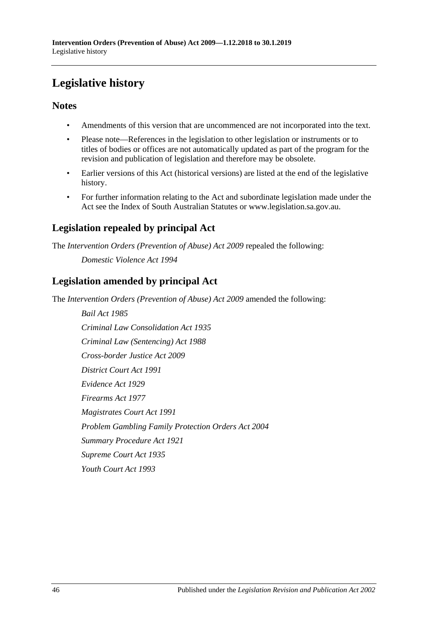# <span id="page-45-0"></span>**Legislative history**

## **Notes**

- Amendments of this version that are uncommenced are not incorporated into the text.
- Please note—References in the legislation to other legislation or instruments or to titles of bodies or offices are not automatically updated as part of the program for the revision and publication of legislation and therefore may be obsolete.
- Earlier versions of this Act (historical versions) are listed at the end of the legislative history.
- For further information relating to the Act and subordinate legislation made under the Act see the Index of South Australian Statutes or www.legislation.sa.gov.au.

## **Legislation repealed by principal Act**

The *Intervention Orders (Prevention of Abuse) Act 2009* repealed the following:

*Domestic Violence Act 1994*

## **Legislation amended by principal Act**

The *Intervention Orders (Prevention of Abuse) Act 2009* amended the following:

*Bail Act 1985 Criminal Law Consolidation Act 1935 Criminal Law (Sentencing) Act 1988 Cross-border Justice Act 2009 District Court Act 1991 Evidence Act 1929 Firearms Act 1977 Magistrates Court Act 1991 Problem Gambling Family Protection Orders Act 2004 Summary Procedure Act 1921 Supreme Court Act 1935 Youth Court Act 1993*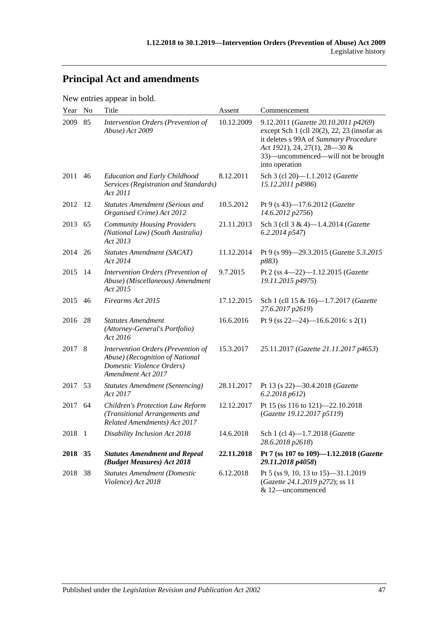# **Principal Act and amendments**

New entries appear in bold.

| Year    | No  | <b>Title</b>                                                                                                             | Assent     | Commencement                                                                                                                                                                                                                |
|---------|-----|--------------------------------------------------------------------------------------------------------------------------|------------|-----------------------------------------------------------------------------------------------------------------------------------------------------------------------------------------------------------------------------|
| 2009    | 85  | Intervention Orders (Prevention of<br>Abuse) Act 2009                                                                    | 10.12.2009 | 9.12.2011 (Gazette 20.10.2011 p4269)<br>except Sch $1$ (cll $20(2)$ , 22, 23 (insofar as<br>it deletes s 99A of Summary Procedure<br>Act 1921), 24, 27(1), 28-30 &<br>33)—uncommenced—will not be brought<br>into operation |
| 2011    | 46  | <b>Education and Early Childhood</b><br>Services (Registration and Standards)<br>Act 2011                                | 8.12.2011  | Sch 3 (cl 20)-1.1.2012 (Gazette<br>15.12.2011 p4986)                                                                                                                                                                        |
| 2012 12 |     | <b>Statutes Amendment (Serious and</b><br>Organised Crime) Act 2012                                                      | 10.5.2012  | Pt 9 (s 43)-17.6.2012 (Gazette<br>14.6.2012 p2756)                                                                                                                                                                          |
| 2013    | 65  | <b>Community Housing Providers</b><br>(National Law) (South Australia)<br>Act 2013                                       | 21.11.2013 | Sch 3 (cll 3 & 4)-1.4.2014 (Gazette<br>6.2.2014 p547)                                                                                                                                                                       |
| 2014    | 26  | <b>Statutes Amendment (SACAT)</b><br>Act 2014                                                                            | 11.12.2014 | Pt 9 (s 99)-29.3.2015 (Gazette 5.3.2015<br>p883)                                                                                                                                                                            |
| 2015    | -14 | Intervention Orders (Prevention of<br>Abuse) (Miscellaneous) Amendment<br>Act 2015                                       | 9.7.2015   | Pt 2 (ss $4-22$ )-1.12.2015 ( <i>Gazette</i><br>19.11.2015 p4975)                                                                                                                                                           |
| 2015    | 46  | Firearms Act 2015                                                                                                        | 17.12.2015 | Sch 1 (cll 15 & 16)-1.7.2017 (Gazette<br>27.6.2017 p2619)                                                                                                                                                                   |
| 2016    | 28  | <b>Statutes Amendment</b><br>(Attorney-General's Portfolio)<br>Act 2016                                                  | 16.6.2016  | Pt 9 (ss $22-24$ )-16.6.2016: s 2(1)                                                                                                                                                                                        |
| 2017    | 8   | Intervention Orders (Prevention of<br>Abuse) (Recognition of National<br>Domestic Violence Orders)<br>Amendment Act 2017 | 15.3.2017  | 25.11.2017 (Gazette 21.11.2017 p4653)                                                                                                                                                                                       |
| 2017 53 |     | <b>Statutes Amendment (Sentencing)</b><br>Act 2017                                                                       | 28.11.2017 | Pt 13 (s 22)-30.4.2018 (Gazette<br>6.2.2018 p612                                                                                                                                                                            |
| 2017    | 64  | Children's Protection Law Reform<br>(Transitional Arrangements and<br>Related Amendments) Act 2017                       | 12.12.2017 | Pt 15 (ss 116 to 121)-22.10.2018<br>(Gazette 19.12.2017 p5119)                                                                                                                                                              |
| 2018 1  |     | Disability Inclusion Act 2018                                                                                            | 14.6.2018  | Sch 1 (cl 4)-1.7.2018 ( <i>Gazette</i><br>28.6.2018 p2618)                                                                                                                                                                  |
| 2018 35 |     | <b>Statutes Amendment and Repeal</b><br>(Budget Measures) Act 2018                                                       | 22.11.2018 | Pt 7 (ss 107 to 109)-1.12.2018 (Gazette<br>29.11.2018 p4058)                                                                                                                                                                |
| 2018 38 |     | <b>Statutes Amendment (Domestic</b><br>Violence) Act 2018                                                                | 6.12.2018  | Pt 5 (ss 9, 10, 13 to 15)-31.1.2019<br>(Gazette 24.1.2019 p272); ss 11<br>& 12-uncommenced                                                                                                                                  |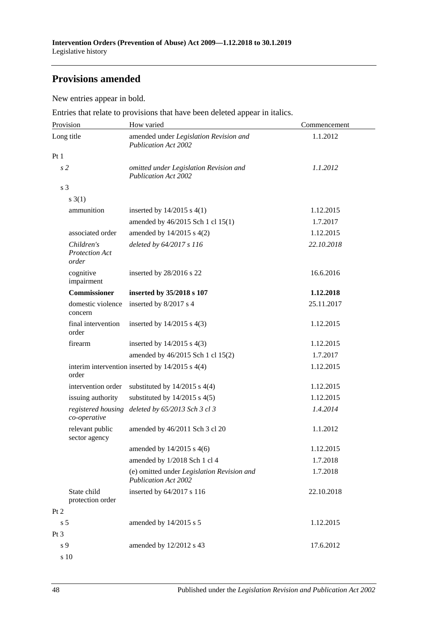## **Provisions amended**

New entries appear in bold.

Entries that relate to provisions that have been deleted appear in italics.

| Provision                                    | How varied                                                                | Commencement |  |
|----------------------------------------------|---------------------------------------------------------------------------|--------------|--|
| Long title                                   | amended under Legislation Revision and<br><b>Publication Act 2002</b>     | 1.1.2012     |  |
| Pt1                                          |                                                                           |              |  |
| s <sub>2</sub>                               | omitted under Legislation Revision and<br><b>Publication Act 2002</b>     | 1.1.2012     |  |
| s <sub>3</sub>                               |                                                                           |              |  |
| $s \; 3(1)$                                  |                                                                           |              |  |
| ammunition                                   | inserted by $14/2015$ s $4(1)$                                            | 1.12.2015    |  |
|                                              | amended by 46/2015 Sch 1 cl 15(1)                                         | 1.7.2017     |  |
| associated order                             | amended by 14/2015 s 4(2)                                                 | 1.12.2015    |  |
| Children's<br><b>Protection Act</b><br>order | deleted by 64/2017 s 116                                                  | 22.10.2018   |  |
| cognitive<br>impairment                      | inserted by 28/2016 s 22                                                  | 16.6.2016    |  |
| <b>Commissioner</b>                          | inserted by 35/2018 s 107                                                 | 1.12.2018    |  |
| domestic violence<br>concern                 | inserted by 8/2017 s 4                                                    | 25.11.2017   |  |
| final intervention<br>order                  | inserted by $14/2015$ s $4(3)$                                            | 1.12.2015    |  |
| firearm                                      | inserted by $14/2015$ s $4(3)$                                            | 1.12.2015    |  |
|                                              | amended by 46/2015 Sch 1 cl 15(2)                                         | 1.7.2017     |  |
| order                                        | interim intervention inserted by $14/2015$ s $4(4)$                       | 1.12.2015    |  |
| intervention order                           | substituted by $14/2015$ s $4(4)$                                         | 1.12.2015    |  |
| issuing authority                            | substituted by $14/2015$ s $4(5)$                                         | 1.12.2015    |  |
| registered housing<br>co-operative           | deleted by 65/2013 Sch 3 cl 3                                             | 1.4.2014     |  |
| relevant public<br>sector agency             | amended by 46/2011 Sch 3 cl 20                                            | 1.1.2012     |  |
|                                              | amended by 14/2015 s 4(6)                                                 | 1.12.2015    |  |
|                                              | amended by 1/2018 Sch 1 cl 4                                              | 1.7.2018     |  |
|                                              | (e) omitted under Legislation Revision and<br><b>Publication Act 2002</b> | 1.7.2018     |  |
| State child<br>protection order              | inserted by 64/2017 s 116                                                 | 22.10.2018   |  |
| Pt 2                                         |                                                                           |              |  |
| s <sub>5</sub>                               | amended by 14/2015 s 5                                                    | 1.12.2015    |  |
| Pt <sub>3</sub>                              |                                                                           |              |  |
| s 9                                          | amended by 12/2012 s 43                                                   | 17.6.2012    |  |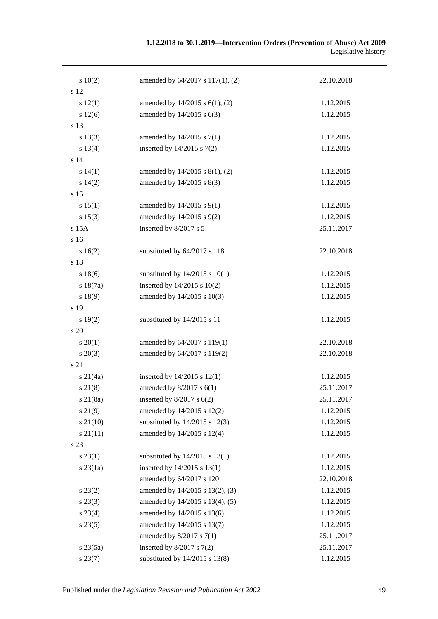| 10(2)         | amended by 64/2017 s 117(1), (2)    | 22.10.2018 |
|---------------|-------------------------------------|------------|
| s 12          |                                     |            |
| s 12(1)       | amended by $14/2015$ s $6(1)$ , (2) | 1.12.2015  |
| s 12(6)       | amended by 14/2015 s 6(3)           | 1.12.2015  |
| s 13          |                                     |            |
| s 13(3)       | amended by 14/2015 s 7(1)           | 1.12.2015  |
| s 13(4)       | inserted by $14/2015$ s $7(2)$      | 1.12.2015  |
| s 14          |                                     |            |
| s 14(1)       | amended by $14/2015$ s $8(1)$ , (2) | 1.12.2015  |
| s 14(2)       | amended by 14/2015 s 8(3)           | 1.12.2015  |
| s 15          |                                     |            |
| s 15(1)       | amended by 14/2015 s 9(1)           | 1.12.2015  |
| s 15(3)       | amended by 14/2015 s 9(2)           | 1.12.2015  |
| s 15A         | inserted by 8/2017 s 5              | 25.11.2017 |
| s 16          |                                     |            |
| s 16(2)       | substituted by 64/2017 s 118        | 22.10.2018 |
| s 18          |                                     |            |
| s 18(6)       | substituted by $14/2015$ s $10(1)$  | 1.12.2015  |
| s 18(7a)      | inserted by 14/2015 s 10(2)         | 1.12.2015  |
| s 18(9)       | amended by 14/2015 s 10(3)          | 1.12.2015  |
| s 19          |                                     |            |
| s 19(2)       | substituted by 14/2015 s 11         | 1.12.2015  |
| s 20          |                                     |            |
| $s \, 20(1)$  | amended by 64/2017 s 119(1)         | 22.10.2018 |
| $s\,20(3)$    | amended by 64/2017 s 119(2)         | 22.10.2018 |
| s 21          |                                     |            |
| $s \, 21(4a)$ | inserted by $14/2015$ s $12(1)$     | 1.12.2015  |
| $s \, 21(8)$  | amended by $8/2017$ s $6(1)$        | 25.11.2017 |
| $s$ 21(8a)    | inserted by $8/2017$ s $6(2)$       | 25.11.2017 |
| $s\,21(9)$    | amended by 14/2015 s 12(2)          | 1.12.2015  |
| $s\ 21(10)$   | substituted by $14/2015$ s $12(3)$  | 1.12.2015  |
| $s \, 21(11)$ | amended by 14/2015 s 12(4)          | 1.12.2015  |
| s 23          |                                     |            |
| $s\,23(1)$    | substituted by $14/2015$ s $13(1)$  | 1.12.2015  |
| $s$ 23 $(1a)$ | inserted by $14/2015$ s $13(1)$     | 1.12.2015  |
|               | amended by 64/2017 s 120            | 22.10.2018 |
| $s\,23(2)$    | amended by 14/2015 s 13(2), (3)     | 1.12.2015  |
| $s\,23(3)$    | amended by 14/2015 s 13(4), (5)     | 1.12.2015  |
| $s\,23(4)$    | amended by 14/2015 s 13(6)          | 1.12.2015  |
| $s\,23(5)$    | amended by 14/2015 s 13(7)          | 1.12.2015  |
|               | amended by $8/2017$ s $7(1)$        | 25.11.2017 |
| $s\,23(5a)$   | inserted by $8/2017$ s $7(2)$       | 25.11.2017 |
| s 23(7)       | substituted by 14/2015 s 13(8)      | 1.12.2015  |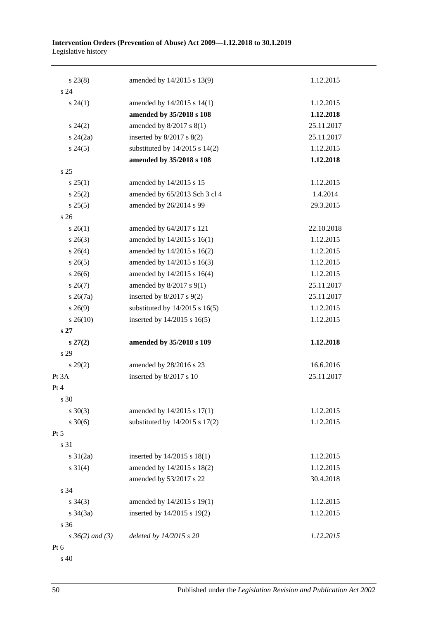| $s\,23(8)$           | amended by 14/2015 s 13(9)         | 1.12.2015  |
|----------------------|------------------------------------|------------|
| s <sub>24</sub>      |                                    |            |
| $s\,24(1)$           | amended by 14/2015 s 14(1)         | 1.12.2015  |
|                      | amended by 35/2018 s 108           | 1.12.2018  |
| $s\,24(2)$           | amended by $8/2017$ s $8(1)$       | 25.11.2017 |
| $s\,24(2a)$          | inserted by $8/2017$ s $8(2)$      | 25.11.2017 |
| $s\,24(5)$           | substituted by $14/2015$ s $14(2)$ | 1.12.2015  |
|                      | amended by 35/2018 s 108           | 1.12.2018  |
| s <sub>25</sub>      |                                    |            |
| s 25(1)              | amended by 14/2015 s 15            | 1.12.2015  |
| s 25(2)              | amended by 65/2013 Sch 3 cl 4      | 1.4.2014   |
| s 25(5)              | amended by 26/2014 s 99            | 29.3.2015  |
| s <sub>26</sub>      |                                    |            |
| $s \; 26(1)$         | amended by 64/2017 s 121           | 22.10.2018 |
| $s \; 26(3)$         | amended by 14/2015 s 16(1)         | 1.12.2015  |
| $s \; 26(4)$         | amended by 14/2015 s 16(2)         | 1.12.2015  |
| $s \; 26(5)$         | amended by 14/2015 s 16(3)         | 1.12.2015  |
| $s \; 26(6)$         | amended by 14/2015 s 16(4)         | 1.12.2015  |
| $s \; 26(7)$         | amended by $8/2017$ s $9(1)$       | 25.11.2017 |
| $s \; 26(7a)$        | inserted by $8/2017$ s $9(2)$      | 25.11.2017 |
| $s\,26(9)$           | substituted by $14/2015$ s $16(5)$ | 1.12.2015  |
| $s\,26(10)$          | inserted by 14/2015 s 16(5)        | 1.12.2015  |
| s <sub>27</sub>      |                                    |            |
| $s\,27(2)$           | amended by 35/2018 s 109           | 1.12.2018  |
| s 29                 |                                    |            |
| $s\,29(2)$           | amended by 28/2016 s 23            | 16.6.2016  |
| Pt 3A                | inserted by 8/2017 s 10            | 25.11.2017 |
| Pt 4                 |                                    |            |
| s 30                 |                                    |            |
| $s \ 30(3)$          | amended by 14/2015 s 17(1)         | 1.12.2015  |
| $s \ 30(6)$          | substituted by $14/2015$ s $17(2)$ | 1.12.2015  |
| Pt 5                 |                                    |            |
| s 31                 |                                    |            |
| $s \frac{31}{2a}$    | inserted by 14/2015 s 18(1)        | 1.12.2015  |
| $s \ 31(4)$          | amended by 14/2015 s 18(2)         | 1.12.2015  |
|                      | amended by 53/2017 s 22            | 30.4.2018  |
| s 34                 |                                    |            |
| $s \; 34(3)$         | amended by 14/2015 s 19(1)         | 1.12.2015  |
| $s \frac{34(3a)}{2}$ | inserted by 14/2015 s 19(2)        | 1.12.2015  |
| s 36                 |                                    |            |
| $s \, 36(2)$ and (3) | deleted by 14/2015 s 20            | 1.12.2015  |
| Pt 6                 |                                    |            |

s 40